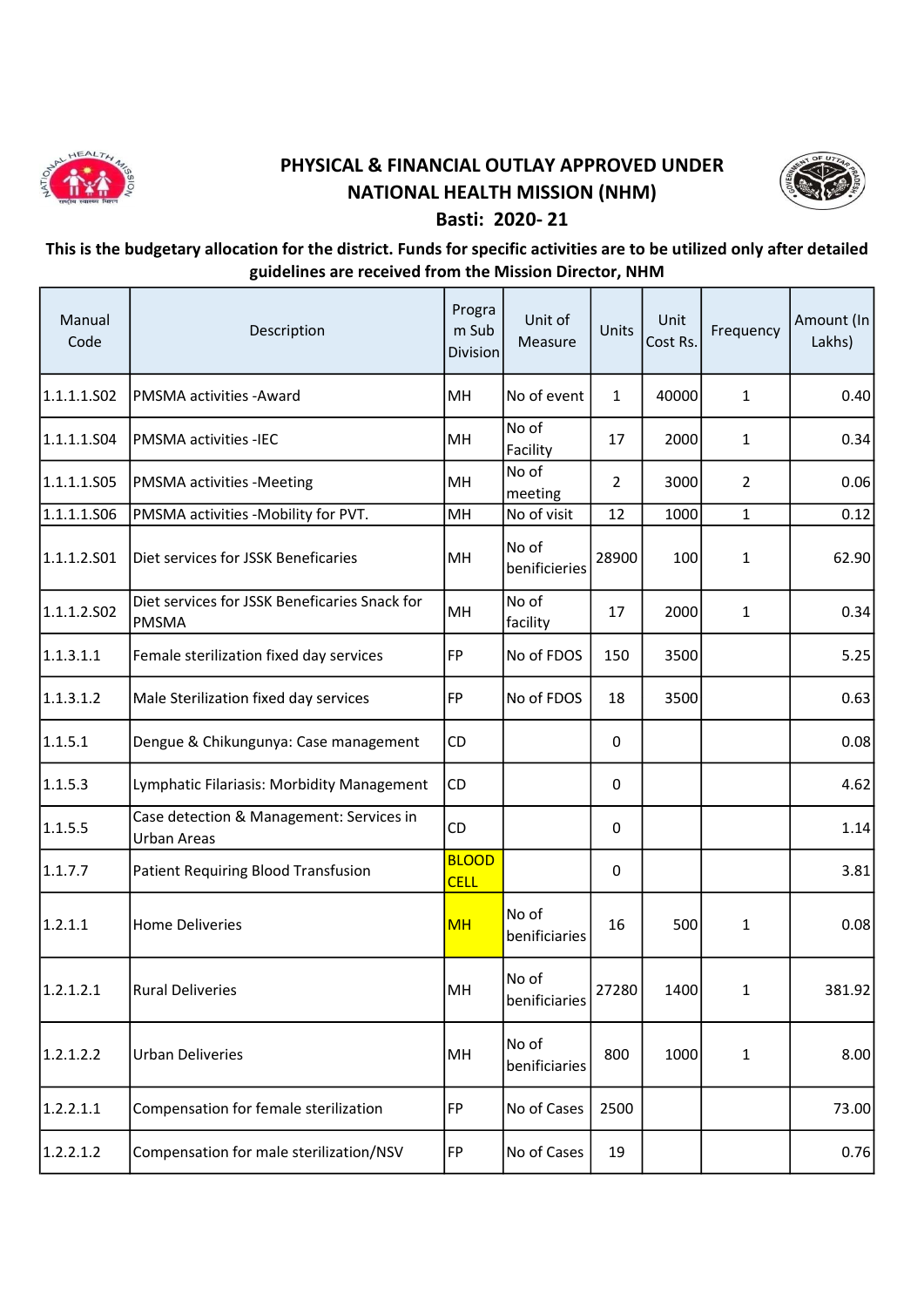

## PHYSICAL & FINANCIAL OUTLAY APPROVED UNDER NATIONAL HEALTH MISSION (NHM) Basti: 2020- 21



## This is the budgetary allocation for the district. Funds for specific activities are to be utilized only after detailed guidelines are received from the Mission Director, NHM

| Manual<br>Code | Description                                                    | Progra<br>m Sub<br>Division | Unit of<br>Measure     | Units          | Unit<br>Cost Rs. | Frequency      | Amount (In<br>Lakhs) |
|----------------|----------------------------------------------------------------|-----------------------------|------------------------|----------------|------------------|----------------|----------------------|
| 1.1.1.1.502    | <b>PMSMA activities - Award</b>                                | MН                          | No of event            | $\mathbf{1}$   | 40000            | $\mathbf{1}$   | 0.40                 |
| 1.1.1.1.504    | <b>PMSMA activities -IEC</b>                                   | MH                          | No of<br>Facility      | 17             | 2000             | $\mathbf{1}$   | 0.34                 |
| 1.1.1.1.S05    | <b>PMSMA</b> activities -Meeting                               | MН                          | No of<br>meeting       | $\overline{2}$ | 3000             | $\overline{2}$ | 0.06                 |
| 1.1.1.1.506    | PMSMA activities -Mobility for PVT.                            | MH                          | No of visit            | 12             | 1000             | $\mathbf{1}$   | 0.12                 |
| 1.1.1.2.501    | Diet services for JSSK Beneficaries                            | MH                          | No of<br>benificieries | 28900          | 100              | $\mathbf{1}$   | 62.90                |
| 1.1.1.2.502    | Diet services for JSSK Beneficaries Snack for<br>PMSMA         | MH                          | No of<br>facility      | 17             | 2000             | $\mathbf{1}$   | 0.34                 |
| 1.1.3.1.1      | Female sterilization fixed day services                        | <b>FP</b>                   | No of FDOS             | 150            | 3500             |                | 5.25                 |
| 1.1.3.1.2      | Male Sterilization fixed day services                          | <b>FP</b>                   | No of FDOS             | 18             | 3500             |                | 0.63                 |
| 1.1.5.1        | Dengue & Chikungunya: Case management                          | CD                          |                        | 0              |                  |                | 0.08                 |
| 1.1.5.3        | Lymphatic Filariasis: Morbidity Management                     | CD                          |                        | 0              |                  |                | 4.62                 |
| 1.1.5.5        | Case detection & Management: Services in<br><b>Urban Areas</b> | <b>CD</b>                   |                        | 0              |                  |                | 1.14                 |
| 1.1.7.7        | Patient Requiring Blood Transfusion                            | <b>BLOOD</b><br><b>CELL</b> |                        | 0              |                  |                | 3.81                 |
| 1.2.1.1        | <b>Home Deliveries</b>                                         | <b>MH</b>                   | No of<br>benificiaries | 16             | 500              | 1              | 0.08                 |
| 1.2.1.2.1      | <b>Rural Deliveries</b>                                        | MH                          | No of<br>benificiaries | 27280          | 1400             | 1              | 381.92               |
| 1.2.1.2.2      | <b>Urban Deliveries</b>                                        | MH                          | No of<br>benificiaries | 800            | 1000             | $\mathbf{1}$   | 8.00                 |
| 1.2.2.1.1      | Compensation for female sterilization                          | <b>FP</b>                   | No of Cases            | 2500           |                  |                | 73.00                |
| 1.2.2.1.2      | Compensation for male sterilization/NSV                        | <b>FP</b>                   | No of Cases            | 19             |                  |                | 0.76                 |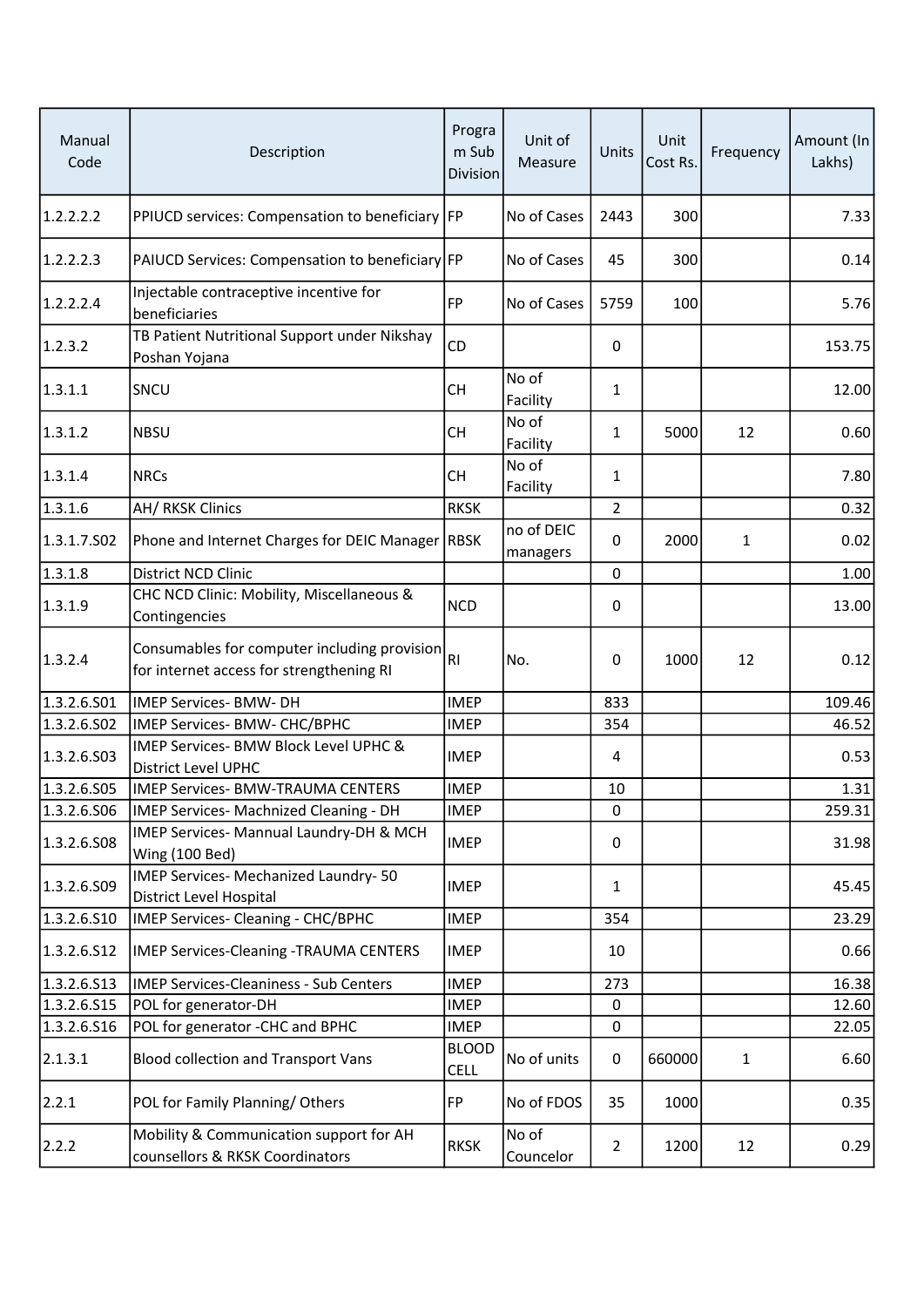| Manual<br>Code | Description                                                                              | Progra<br>m Sub<br><b>Division</b> | Unit of<br>Measure     | Units            | Unit<br>Cost Rs. | Frequency | Amount (In<br>Lakhs) |
|----------------|------------------------------------------------------------------------------------------|------------------------------------|------------------------|------------------|------------------|-----------|----------------------|
| 1.2.2.2.2      | PPIUCD services: Compensation to beneficiary FP                                          |                                    | No of Cases            | 2443             | 300              |           | 7.33                 |
| 1.2.2.2.3      | PAIUCD Services: Compensation to beneficiary FP                                          |                                    | No of Cases            | 45               | 300              |           | 0.14                 |
| 1.2.2.2.4      | Injectable contraceptive incentive for<br>beneficiaries                                  | FP                                 | No of Cases            | 5759             | 100              |           | 5.76                 |
| 1.2.3.2        | TB Patient Nutritional Support under Nikshay<br>Poshan Yojana                            | CD                                 |                        | 0                |                  |           | 153.75               |
| 1.3.1.1        | SNCU                                                                                     | <b>CH</b>                          | No of<br>Facility      | 1                |                  |           | 12.00                |
| 1.3.1.2        | <b>NBSU</b>                                                                              | <b>CH</b>                          | No of<br>Facility      | $\mathbf{1}$     | 5000             | 12        | 0.60                 |
| 1.3.1.4        | <b>NRCs</b>                                                                              | <b>CH</b>                          | No of<br>Facility      | $\mathbf{1}$     |                  |           | 7.80                 |
| 1.3.1.6        | AH/ RKSK Clinics                                                                         | <b>RKSK</b>                        |                        | $\overline{2}$   |                  |           | 0.32                 |
| 1.3.1.7.502    | Phone and Internet Charges for DEIC Manager RBSK                                         |                                    | no of DEIC<br>managers | 0                | 2000             | 1         | 0.02                 |
| 1.3.1.8        | <b>District NCD Clinic</b>                                                               |                                    |                        | $\Omega$         |                  |           | 1.00                 |
| 1.3.1.9        | CHC NCD Clinic: Mobility, Miscellaneous &<br>Contingencies                               | <b>NCD</b>                         |                        | 0                |                  |           | 13.00                |
| 1.3.2.4        | Consumables for computer including provision<br>for internet access for strengthening RI | R <sub>1</sub>                     | No.                    | 0                | 1000             | 12        | 0.12                 |
| 1.3.2.6.501    | IMEP Services- BMW- DH                                                                   | <b>IMEP</b>                        |                        | 833              |                  |           | 109.46               |
| 1.3.2.6.502    | IMEP Services- BMW- CHC/BPHC                                                             | <b>IMEP</b>                        |                        | 354              |                  |           | 46.52                |
| 1.3.2.6.503    | IMEP Services- BMW Block Level UPHC &<br><b>District Level UPHC</b>                      | <b>IMEP</b>                        |                        | 4                |                  |           | 0.53                 |
| 1.3.2.6.S05    | <b>IMEP Services- BMW-TRAUMA CENTERS</b>                                                 | <b>IMEP</b>                        |                        | 10               |                  |           | 1.31                 |
| 1.3.2.6.506    | IMEP Services- Machnized Cleaning - DH                                                   | <b>IMEP</b>                        |                        | 0                |                  |           | 259.31               |
| 1.3.2.6.508    | IMEP Services- Mannual Laundry-DH & MCH<br>Wing (100 Bed)                                | <b>IMEP</b>                        |                        | 0                |                  |           | 31.98                |
| 1.3.2.6.S09    | IMEP Services- Mechanized Laundry- 50<br>District Level Hospital                         | <b>IMEP</b>                        |                        | 1                |                  |           | 45.45                |
| 1.3.2.6.510    | IMEP Services- Cleaning - CHC/BPHC                                                       | <b>IMEP</b>                        |                        | 354              |                  |           | 23.29                |
| 1.3.2.6.S12    | <b>IMEP Services-Cleaning -TRAUMA CENTERS</b>                                            | <b>IMEP</b>                        |                        | 10               |                  |           | 0.66                 |
| 1.3.2.6.513    | <b>IMEP Services-Cleaniness - Sub Centers</b>                                            | <b>IMEP</b>                        |                        | 273              |                  |           | 16.38                |
| 1.3.2.6.S15    | POL for generator-DH                                                                     | <b>IMEP</b>                        |                        | 0                |                  |           | 12.60                |
| 1.3.2.6.516    | POL for generator -CHC and BPHC                                                          | <b>IMEP</b>                        |                        | $\boldsymbol{0}$ |                  |           | 22.05                |
| 2.1.3.1        | <b>Blood collection and Transport Vans</b>                                               | <b>BLOOD</b><br><b>CELL</b>        | No of units            | 0                | 660000           | 1         | 6.60                 |
| 2.2.1          | POL for Family Planning/Others                                                           | FP                                 | No of FDOS             | 35               | 1000             |           | 0.35                 |
| 2.2.2          | Mobility & Communication support for AH<br>counsellors & RKSK Coordinators               | <b>RKSK</b>                        | No of<br>Councelor     | $\overline{2}$   | 1200             | 12        | 0.29                 |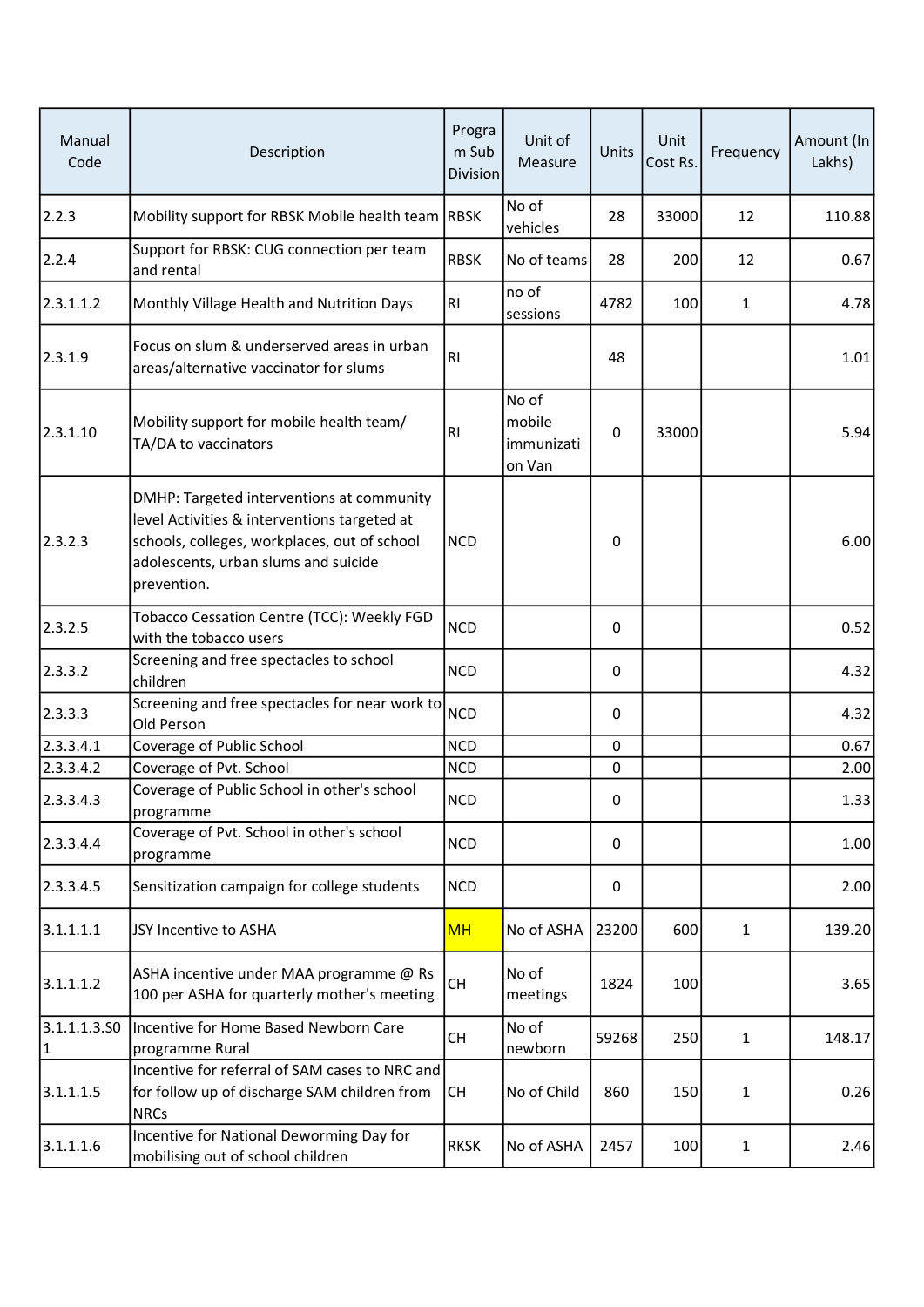| Manual<br>Code    | Description                                                                                                                                                                                      | Progra<br>m Sub<br><b>Division</b> | Unit of<br>Measure                      | Units | Unit<br>Cost Rs. | Frequency    | Amount (In<br>Lakhs) |
|-------------------|--------------------------------------------------------------------------------------------------------------------------------------------------------------------------------------------------|------------------------------------|-----------------------------------------|-------|------------------|--------------|----------------------|
| 2.2.3             | Mobility support for RBSK Mobile health team RBSK                                                                                                                                                |                                    | No of<br>vehicles                       | 28    | 33000            | 12           | 110.88               |
| 2.2.4             | Support for RBSK: CUG connection per team<br>and rental                                                                                                                                          | <b>RBSK</b>                        | No of teams                             | 28    | 200              | 12           | 0.67                 |
| 2.3.1.1.2         | Monthly Village Health and Nutrition Days                                                                                                                                                        | R <sub>1</sub>                     | no of<br>sessions                       | 4782  | 100              | 1            | 4.78                 |
| 2.3.1.9           | Focus on slum & underserved areas in urban<br>areas/alternative vaccinator for slums                                                                                                             | RI                                 |                                         | 48    |                  |              | 1.01                 |
| 2.3.1.10          | Mobility support for mobile health team/<br>TA/DA to vaccinators                                                                                                                                 | RI                                 | No of<br>mobile<br>immunizati<br>on Van | 0     | 33000            |              | 5.94                 |
| 2.3.2.3           | DMHP: Targeted interventions at community<br>level Activities & interventions targeted at<br>schools, colleges, workplaces, out of school<br>adolescents, urban slums and suicide<br>prevention. | <b>NCD</b>                         |                                         | 0     |                  |              | 6.00                 |
| 2.3.2.5           | Tobacco Cessation Centre (TCC): Weekly FGD<br>with the tobacco users                                                                                                                             | <b>NCD</b>                         |                                         | 0     |                  |              | 0.52                 |
| 2.3.3.2           | Screening and free spectacles to school<br>children                                                                                                                                              | <b>NCD</b>                         |                                         | 0     |                  |              | 4.32                 |
| 2.3.3.3           | Screening and free spectacles for near work to<br>Old Person                                                                                                                                     | <b>NCD</b>                         |                                         | 0     |                  |              | 4.32                 |
| 2.3.3.4.1         | Coverage of Public School                                                                                                                                                                        | <b>NCD</b>                         |                                         | 0     |                  |              | 0.67                 |
| 2.3.3.4.2         | Coverage of Pvt. School                                                                                                                                                                          | <b>NCD</b>                         |                                         | 0     |                  |              | 2.00                 |
| 2.3.3.4.3         | Coverage of Public School in other's school<br>programme                                                                                                                                         | <b>NCD</b>                         |                                         | 0     |                  |              | 1.33                 |
| 2.3.3.4.4         | Coverage of Pvt. School in other's school<br>programme                                                                                                                                           | <b>NCD</b>                         |                                         | 0     |                  |              | 1.00                 |
| 2.3.3.4.5         | Sensitization campaign for college students                                                                                                                                                      | <b>NCD</b>                         |                                         | 0     |                  |              | 2.00                 |
| 3.1.1.1.1         | JSY Incentive to ASHA                                                                                                                                                                            | <b>MH</b>                          | No of ASHA                              | 23200 | 600              | $\mathbf{1}$ | 139.20               |
| 3.1.1.1.2         | ASHA incentive under MAA programme @ Rs<br>100 per ASHA for quarterly mother's meeting                                                                                                           | <b>CH</b>                          | No of<br>meetings                       | 1824  | 100              |              | 3.65                 |
| 3.1.1.1.3.50<br>1 | Incentive for Home Based Newborn Care<br>programme Rural                                                                                                                                         | <b>CH</b>                          | No of<br>newborn                        | 59268 | 250              | $\mathbf{1}$ | 148.17               |
| 3.1.1.1.5         | Incentive for referral of SAM cases to NRC and<br>for follow up of discharge SAM children from<br><b>NRCs</b>                                                                                    | <b>CH</b>                          | No of Child                             | 860   | 150              | 1            | 0.26                 |
| 3.1.1.1.6         | Incentive for National Deworming Day for<br>mobilising out of school children                                                                                                                    | <b>RKSK</b>                        | No of ASHA                              | 2457  | 100              | $\mathbf{1}$ | 2.46                 |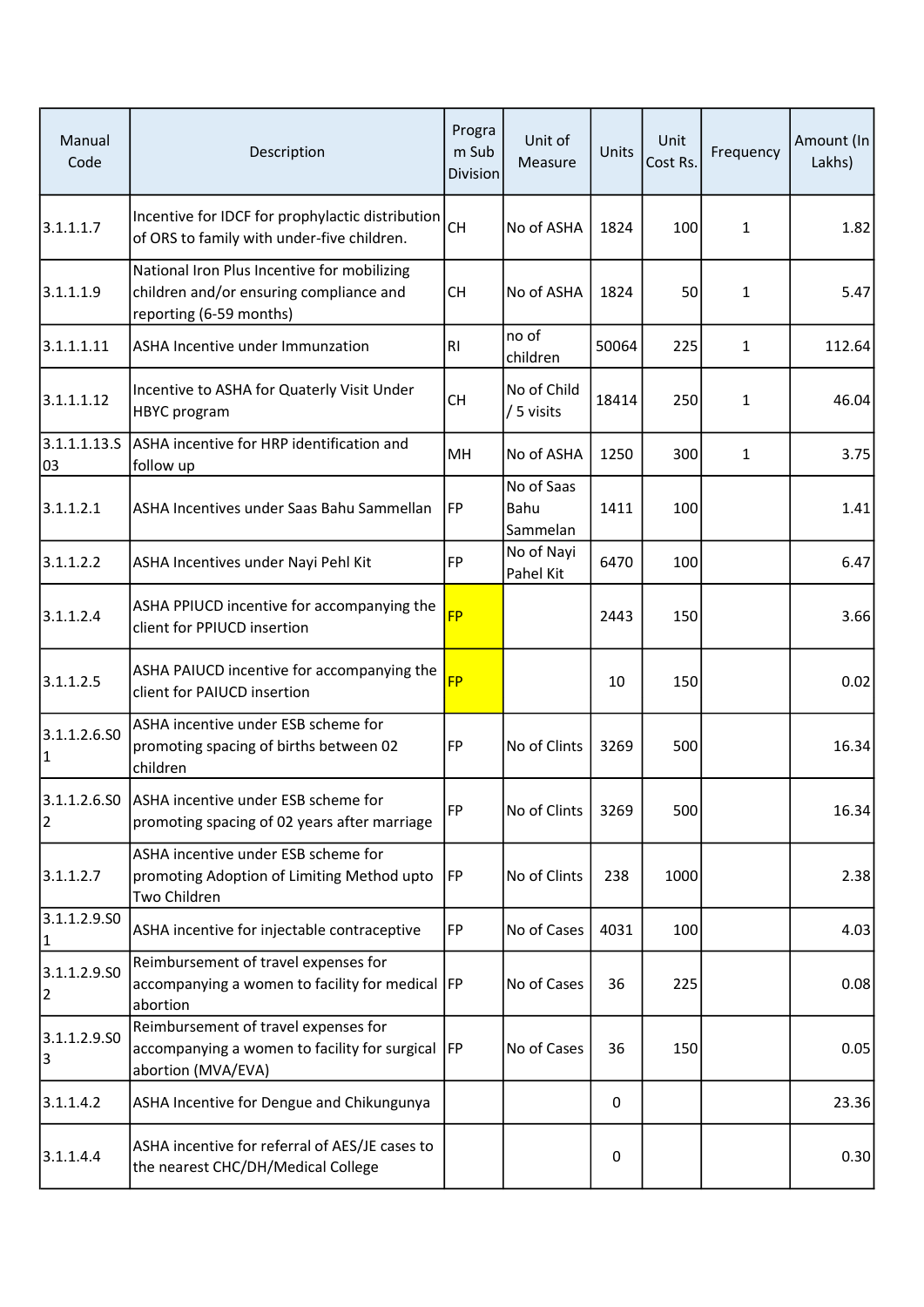| Manual<br>Code     | Description                                                                                                       | Progra<br>m Sub<br><b>Division</b> | Unit of<br>Measure             | Units | Unit<br>Cost Rs. | Frequency    | Amount (In<br>Lakhs) |
|--------------------|-------------------------------------------------------------------------------------------------------------------|------------------------------------|--------------------------------|-------|------------------|--------------|----------------------|
| 3.1.1.1.7          | Incentive for IDCF for prophylactic distribution<br>of ORS to family with under-five children.                    | <b>CH</b>                          | No of ASHA                     | 1824  | 100              | $\mathbf{1}$ | 1.82                 |
| 3.1.1.1.9          | National Iron Plus Incentive for mobilizing<br>children and/or ensuring compliance and<br>reporting (6-59 months) | <b>CH</b>                          | No of ASHA                     | 1824  | 50               | 1            | 5.47                 |
| 3.1.1.1.11         | ASHA Incentive under Immunzation                                                                                  | <b>RI</b>                          | no of<br>children              | 50064 | 225              | $\mathbf{1}$ | 112.64               |
| 3.1.1.1.12         | Incentive to ASHA for Quaterly Visit Under<br><b>HBYC</b> program                                                 | <b>CH</b>                          | No of Child<br>/ 5 visits      | 18414 | 250              | 1            | 46.04                |
| 3.1.1.1.13.5<br>03 | ASHA incentive for HRP identification and<br>follow up                                                            | MH                                 | No of ASHA                     | 1250  | 300              | 1            | 3.75                 |
| 3.1.1.2.1          | ASHA Incentives under Saas Bahu Sammellan                                                                         | FP                                 | No of Saas<br>Bahu<br>Sammelan | 1411  | 100              |              | 1.41                 |
| 3.1.1.2.2          | ASHA Incentives under Nayi Pehl Kit                                                                               | FP                                 | No of Nayi<br>Pahel Kit        | 6470  | 100              |              | 6.47                 |
| 3.1.1.2.4          | ASHA PPIUCD incentive for accompanying the<br>client for PPIUCD insertion                                         | <b>FP</b>                          |                                | 2443  | 150              |              | 3.66                 |
| 3.1.1.2.5          | ASHA PAIUCD incentive for accompanying the<br>client for PAIUCD insertion                                         | <b>FP</b>                          |                                | 10    | 150              |              | 0.02                 |
| 3.1.1.2.6.50<br> 1 | ASHA incentive under ESB scheme for<br>promoting spacing of births between 02<br>children                         | <b>FP</b>                          | No of Clints                   | 3269  | 500              |              | 16.34                |
| 2                  | 3.1.1.2.6.S0 ASHA incentive under ESB scheme for<br>promoting spacing of 02 years after marriage                  | FP                                 | No of Clints                   | 3269  | 500              |              | 16.34                |
| 3.1.1.2.7          | ASHA incentive under ESB scheme for<br>promoting Adoption of Limiting Method upto<br>Two Children                 | FP                                 | No of Clints                   | 238   | 1000             |              | 2.38                 |
| 3.1.1.2.9.50<br> 1 | ASHA incentive for injectable contraceptive                                                                       | <b>FP</b>                          | No of Cases                    | 4031  | 100              |              | 4.03                 |
| 3.1.1.2.9.50<br>2  | Reimbursement of travel expenses for<br>accompanying a women to facility for medical FP<br>abortion               |                                    | No of Cases                    | 36    | 225              |              | 0.08                 |
| 3.1.1.2.9.50<br>3  | Reimbursement of travel expenses for<br>accompanying a women to facility for surgical  FP<br>abortion (MVA/EVA)   |                                    | No of Cases                    | 36    | 150              |              | 0.05                 |
| 3.1.1.4.2          | ASHA Incentive for Dengue and Chikungunya                                                                         |                                    |                                | 0     |                  |              | 23.36                |
| 3.1.1.4.4          | ASHA incentive for referral of AES/JE cases to<br>the nearest CHC/DH/Medical College                              |                                    |                                | 0     |                  |              | 0.30                 |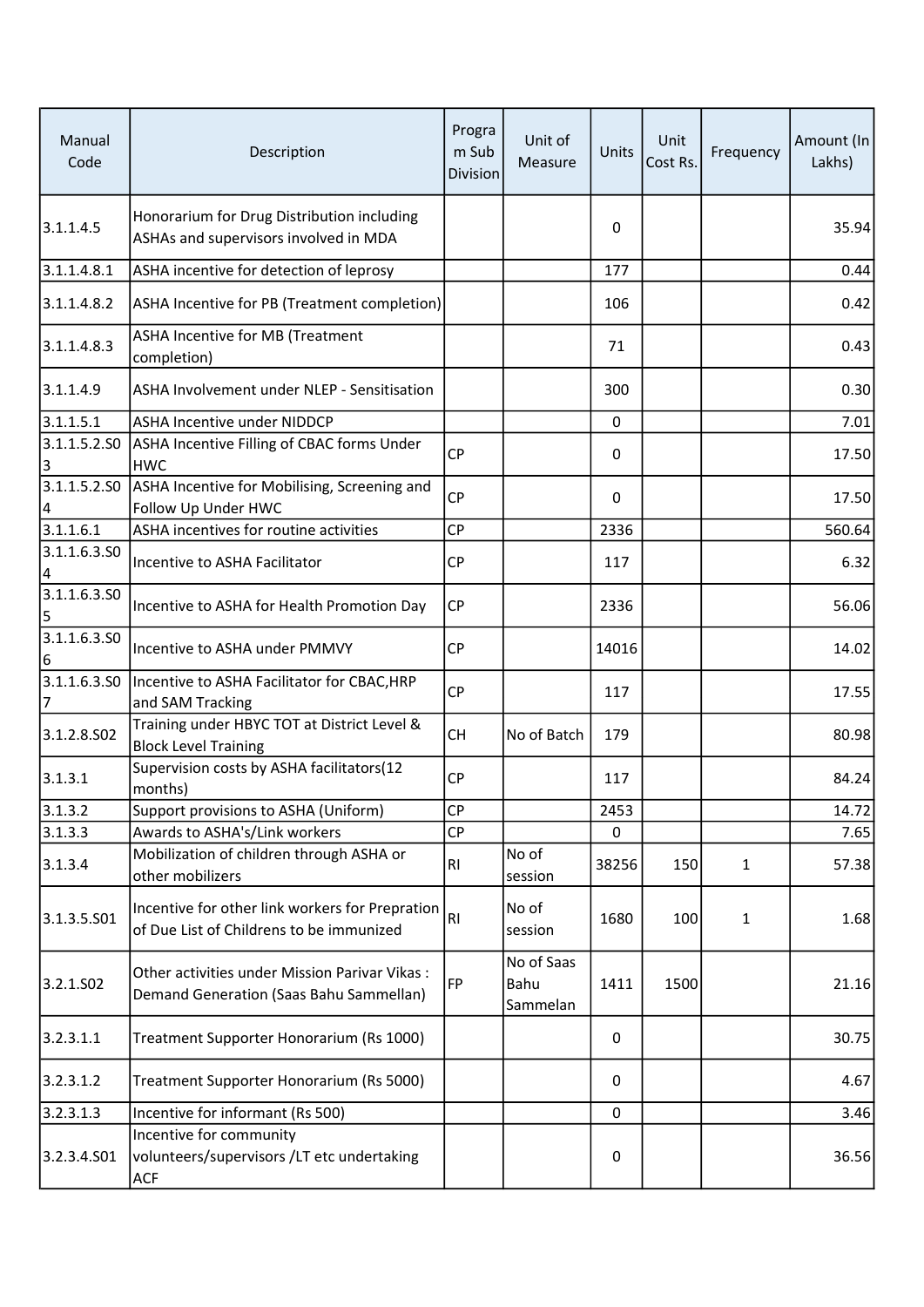| Manual<br>Code            | Description                                                                                 | Progra<br>m Sub<br><b>Division</b> | Unit of<br>Measure             | Units    | Unit<br>Cost Rs. | Frequency    | Amount (In<br>Lakhs) |
|---------------------------|---------------------------------------------------------------------------------------------|------------------------------------|--------------------------------|----------|------------------|--------------|----------------------|
| 3.1.1.4.5                 | Honorarium for Drug Distribution including<br>ASHAs and supervisors involved in MDA         |                                    |                                | 0        |                  |              | 35.94                |
| 3.1.1.4.8.1               | ASHA incentive for detection of leprosy                                                     |                                    |                                | 177      |                  |              | 0.44                 |
| 3.1.1.4.8.2               | ASHA Incentive for PB (Treatment completion)                                                |                                    |                                | 106      |                  |              | 0.42                 |
| 3.1.1.4.8.3               | ASHA Incentive for MB (Treatment<br>completion)                                             |                                    |                                | 71       |                  |              | 0.43                 |
| 3.1.1.4.9                 | ASHA Involvement under NLEP - Sensitisation                                                 |                                    |                                | 300      |                  |              | 0.30                 |
| 3.1.1.5.1                 | <b>ASHA Incentive under NIDDCP</b>                                                          |                                    |                                | $\Omega$ |                  |              | 7.01                 |
| 3.1.1.5.2.50<br>3         | ASHA Incentive Filling of CBAC forms Under<br><b>HWC</b>                                    | <b>CP</b>                          |                                | 0        |                  |              | 17.50                |
| 4                         | 3.1.1.5.2.SO ASHA Incentive for Mobilising, Screening and<br>Follow Up Under HWC            | <b>CP</b>                          |                                | 0        |                  |              | 17.50                |
| 3.1.1.6.1                 | ASHA incentives for routine activities                                                      | <b>CP</b>                          |                                | 2336     |                  |              | 560.64               |
| 3.1.1.6.3.50<br> 4        | Incentive to ASHA Facilitator                                                               | <b>CP</b>                          |                                | 117      |                  |              | 6.32                 |
| 3.1.1.6.3.50<br><u> 5</u> | Incentive to ASHA for Health Promotion Day                                                  | <b>CP</b>                          |                                | 2336     |                  |              | 56.06                |
| 3.1.1.6.3.50<br>6         | Incentive to ASHA under PMMVY                                                               | <b>CP</b>                          |                                | 14016    |                  |              | 14.02                |
| 3.1.1.6.3.50<br>17        | Incentive to ASHA Facilitator for CBAC, HRP<br>and SAM Tracking                             | <b>CP</b>                          |                                | 117      |                  |              | 17.55                |
| 3.1.2.8.502               | Training under HBYC TOT at District Level &<br><b>Block Level Training</b>                  | <b>CH</b>                          | No of Batch                    | 179      |                  |              | 80.98                |
| 3.1.3.1                   | Supervision costs by ASHA facilitators(12<br>months)                                        | <b>CP</b>                          |                                | 117      |                  |              | 84.24                |
| 3.1.3.2                   | Support provisions to ASHA (Uniform)                                                        | CP                                 |                                | 2453     |                  |              | 14.72                |
| 3.1.3.3                   | Awards to ASHA's/Link workers                                                               | <b>CP</b>                          |                                | 0        |                  |              | 7.65                 |
| 3.1.3.4                   | Mobilization of children through ASHA or<br>other mobilizers                                | RI                                 | No of<br>session               | 38256    | 150              | $\mathbf{1}$ | 57.38                |
| 3.1.3.5.501               | Incentive for other link workers for Prepration<br>of Due List of Childrens to be immunized | RI                                 | No of<br>session               | 1680     | 100              | $\mathbf{1}$ | 1.68                 |
| 3.2.1.SO <sub>2</sub>     | Other activities under Mission Parivar Vikas:<br>Demand Generation (Saas Bahu Sammellan)    | FP                                 | No of Saas<br>Bahu<br>Sammelan | 1411     | 1500             |              | 21.16                |
| 3.2.3.1.1                 | Treatment Supporter Honorarium (Rs 1000)                                                    |                                    |                                | 0        |                  |              | 30.75                |
| 3.2.3.1.2                 | Treatment Supporter Honorarium (Rs 5000)                                                    |                                    |                                | 0        |                  |              | 4.67                 |
| 3.2.3.1.3                 | Incentive for informant (Rs 500)                                                            |                                    |                                | 0        |                  |              | 3.46                 |
| 3.2.3.4.501               | Incentive for community<br>volunteers/supervisors /LT etc undertaking<br><b>ACF</b>         |                                    |                                | 0        |                  |              | 36.56                |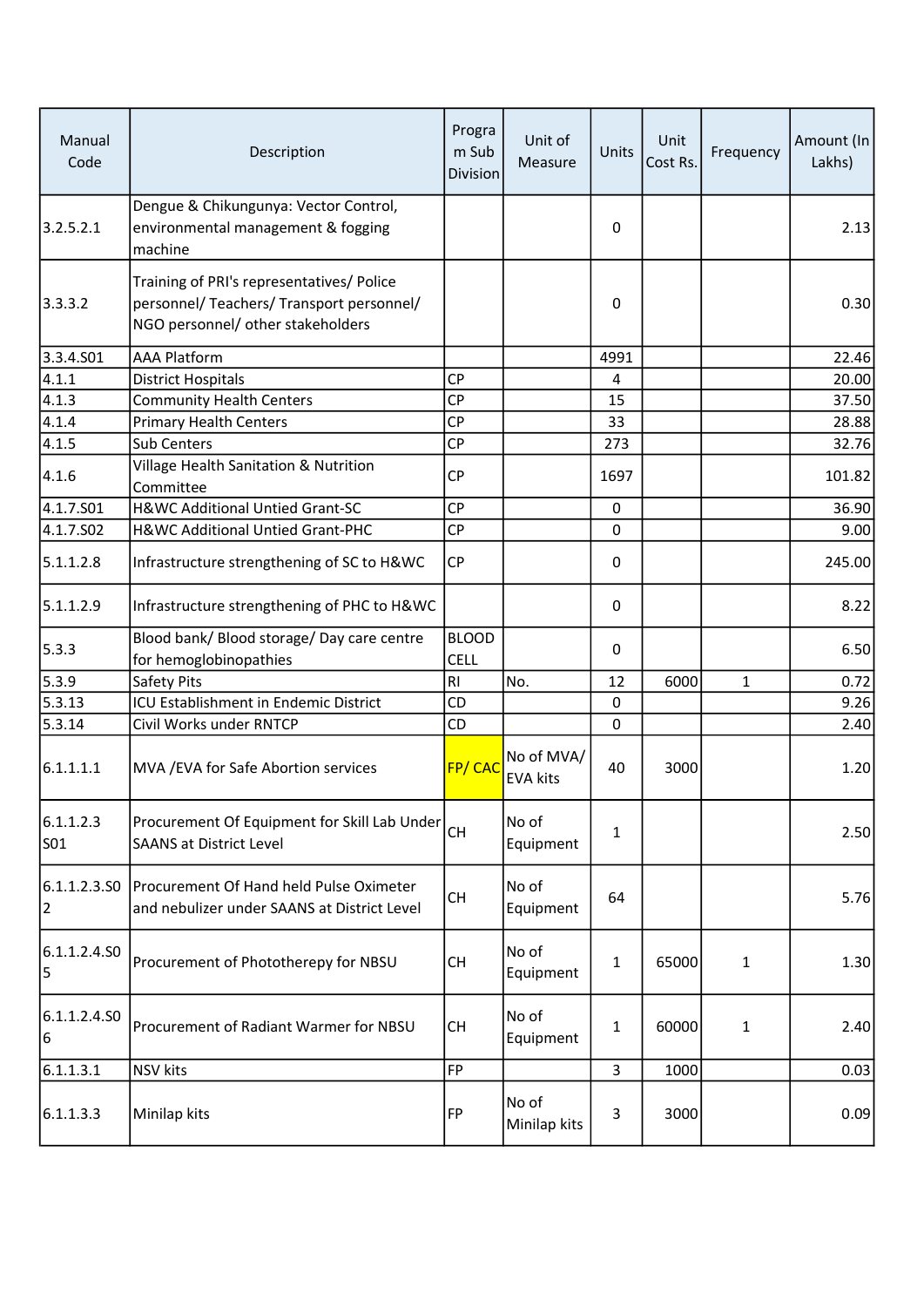| Manual<br>Code               | Description                                                                                                                 | Progra<br>m Sub<br><b>Division</b> | Unit of<br>Measure            | Units        | Unit<br>Cost Rs. | Frequency    | Amount (In<br>Lakhs) |
|------------------------------|-----------------------------------------------------------------------------------------------------------------------------|------------------------------------|-------------------------------|--------------|------------------|--------------|----------------------|
| 3.2.5.2.1                    | Dengue & Chikungunya: Vector Control,<br>environmental management & fogging<br>machine                                      |                                    |                               | 0            |                  |              | 2.13                 |
| 3.3.3.2                      | Training of PRI's representatives/ Police<br>personnel/ Teachers/ Transport personnel/<br>NGO personnel/ other stakeholders |                                    |                               | 0            |                  |              | 0.30                 |
| 3.3.4.501                    | <b>AAA Platform</b>                                                                                                         |                                    |                               | 4991         |                  |              | 22.46                |
| 4.1.1                        | <b>District Hospitals</b>                                                                                                   | <b>CP</b>                          |                               | 4            |                  |              | 20.00                |
| 4.1.3                        | <b>Community Health Centers</b>                                                                                             | <b>CP</b>                          |                               | 15           |                  |              | 37.50                |
| $\sqrt{4.1.4}$               | <b>Primary Health Centers</b>                                                                                               | <b>CP</b>                          |                               | 33           |                  |              | 28.88                |
| 4.1.5                        | <b>Sub Centers</b>                                                                                                          | CP                                 |                               | 273          |                  |              | 32.76                |
| 4.1.6                        | Village Health Sanitation & Nutrition<br>Committee                                                                          | <b>CP</b>                          |                               | 1697         |                  |              | 101.82               |
| 4.1.7.501                    | H&WC Additional Untied Grant-SC                                                                                             | <b>CP</b>                          |                               | $\mathbf 0$  |                  |              | 36.90                |
| 4.1.7.S02                    | H&WC Additional Untied Grant-PHC                                                                                            | CP                                 |                               | 0            |                  |              | 9.00                 |
| 5.1.1.2.8                    | Infrastructure strengthening of SC to H&WC                                                                                  | CP                                 |                               | 0            |                  |              | 245.00               |
| 5.1.1.2.9                    | Infrastructure strengthening of PHC to H&WC                                                                                 |                                    |                               | 0            |                  |              | 8.22                 |
| 5.3.3                        | Blood bank/ Blood storage/ Day care centre<br>for hemoglobinopathies                                                        | <b>BLOOD</b><br><b>CELL</b>        |                               | 0            |                  |              | 6.50                 |
| 5.3.9                        | Safety Pits                                                                                                                 | RI                                 | No.                           | 12           | 6000             | $\mathbf{1}$ | 0.72                 |
| 5.3.13                       | ICU Establishment in Endemic District                                                                                       | <b>CD</b>                          |                               | 0            |                  |              | 9.26                 |
| 5.3.14                       | Civil Works under RNTCP                                                                                                     | CD                                 |                               | $\mathbf 0$  |                  |              | 2.40                 |
| 6.1.1.1.1                    | MVA / EVA for Safe Abortion services                                                                                        | <b>FP/CAC</b>                      | No of MVA/<br><b>EVA kits</b> | 40           | 3000             |              | 1.20                 |
| 6.1.1.2.3<br>SO <sub>1</sub> | Procurement Of Equipment for Skill Lab Under<br><b>SAANS at District Level</b>                                              | <b>CH</b>                          | No of<br>Equipment            | 1            |                  |              | 2.50                 |
| 6.1.1.2.3.50 <br>2           | Procurement Of Hand held Pulse Oximeter<br>and nebulizer under SAANS at District Level                                      | <b>CH</b>                          | No of<br>Equipment            | 64           |                  |              | 5.76                 |
| 6.1.1.2.4.50<br>5            | Procurement of Phototherepy for NBSU                                                                                        | <b>CH</b>                          | No of<br>Equipment            | $\mathbf{1}$ | 65000            | 1            | 1.30                 |
| 6.1.1.2.4.50<br>6            | Procurement of Radiant Warmer for NBSU                                                                                      | <b>CH</b>                          | No of<br>Equipment            | $\mathbf{1}$ | 60000            | 1            | 2.40                 |
| 6.1.1.3.1                    | NSV kits                                                                                                                    | FP                                 |                               | 3            | 1000             |              | 0.03                 |
| 6.1.1.3.3                    | Minilap kits                                                                                                                | FP                                 | No of<br>Minilap kits         | 3            | 3000             |              | 0.09                 |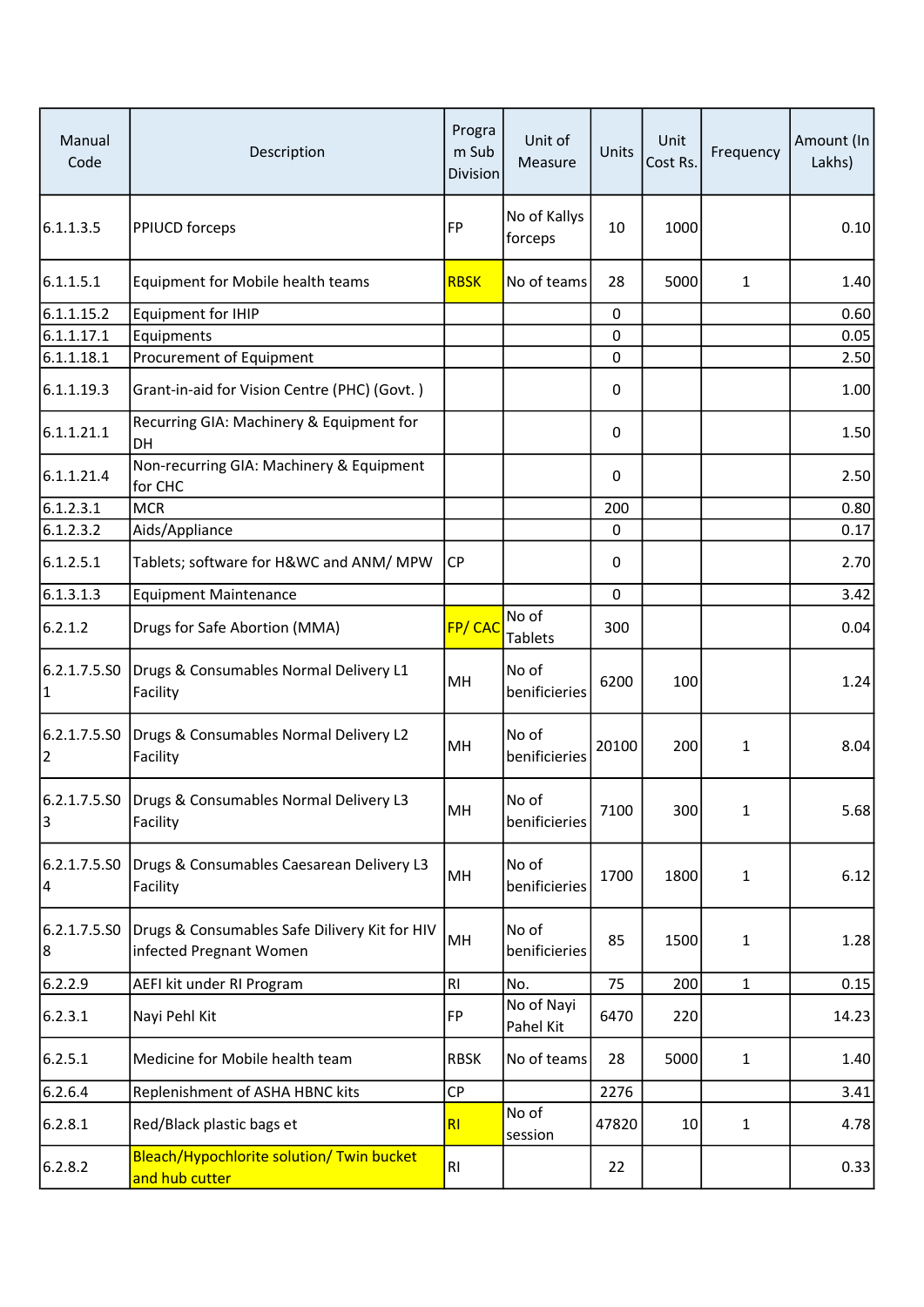| Manual<br>Code     | Description                                                              | Progra<br>m Sub<br><b>Division</b> | Unit of<br>Measure      | Units | Unit<br>Cost Rs. | Frequency    | Amount (In<br>Lakhs) |
|--------------------|--------------------------------------------------------------------------|------------------------------------|-------------------------|-------|------------------|--------------|----------------------|
| 6.1.1.3.5          | PPIUCD forceps                                                           | FP                                 | No of Kallys<br>forceps | 10    | 1000             |              | 0.10                 |
| 6.1.1.5.1          | Equipment for Mobile health teams                                        | <b>RBSK</b>                        | No of teams             | 28    | 5000             | $\mathbf{1}$ | 1.40                 |
| 6.1.1.15.2         | <b>Equipment for IHIP</b>                                                |                                    |                         | 0     |                  |              | 0.60                 |
| 6.1.1.17.1         | Equipments                                                               |                                    |                         | 0     |                  |              | 0.05                 |
| 6.1.1.18.1         | Procurement of Equipment                                                 |                                    |                         | 0     |                  |              | 2.50                 |
| 6.1.1.19.3         | Grant-in-aid for Vision Centre (PHC) (Govt.)                             |                                    |                         | 0     |                  |              | 1.00                 |
| 6.1.1.21.1         | Recurring GIA: Machinery & Equipment for<br>DH                           |                                    |                         | 0     |                  |              | 1.50                 |
| 6.1.1.21.4         | Non-recurring GIA: Machinery & Equipment<br>for CHC                      |                                    |                         | 0     |                  |              | 2.50                 |
| 6.1.2.3.1          | <b>MCR</b>                                                               |                                    |                         | 200   |                  |              | 0.80                 |
| 6.1.2.3.2          | Aids/Appliance                                                           |                                    |                         | 0     |                  |              | 0.17                 |
| 6.1.2.5.1          | Tablets; software for H&WC and ANM/ MPW                                  | <b>CP</b>                          |                         | 0     |                  |              | 2.70                 |
| 6.1.3.1.3          | <b>Equipment Maintenance</b>                                             |                                    |                         | 0     |                  |              | 3.42                 |
| 6.2.1.2            | Drugs for Safe Abortion (MMA)                                            | FP/CAC                             | No of<br>Tablets        | 300   |                  |              | 0.04                 |
| 6.2.1.7.5.SO<br> 1 | Drugs & Consumables Normal Delivery L1<br>Facility                       | MH                                 | No of<br>benificieries  | 6200  | 100              |              | 1.24                 |
| 2                  | 6.2.1.7.5.S0 Drugs & Consumables Normal Delivery L2<br>Facility          | MH                                 | No of<br>benificieries  | 20100 | 200              | $\mathbf{1}$ | 8.04                 |
| 3                  | 6.2.1.7.5.S0 Drugs & Consumables Normal Delivery L3<br>Facility          | MH                                 | No of<br>benificieries  | 7100  | 300              | $\mathbf{1}$ | 5.68                 |
| 4                  | 6.2.1.7.5.S0 Drugs & Consumables Caesarean Delivery L3<br>Facility       | MH                                 | No of<br>benificieries  | 1700  | 1800             | $\mathbf{1}$ | 6.12                 |
| 6.2.1.7.5.SO<br>8  | Drugs & Consumables Safe Dilivery Kit for HIV<br>infected Pregnant Women | MH                                 | No of<br>benificieries  | 85    | 1500             | $\mathbf{1}$ | 1.28                 |
| 6.2.2.9            | AEFI kit under RI Program                                                | RI.                                | No.                     | 75    | 200              | $\mathbf{1}$ | 0.15                 |
| 6.2.3.1            | Nayi Pehl Kit                                                            | <b>FP</b>                          | No of Nayi<br>Pahel Kit | 6470  | 220              |              | 14.23                |
| 6.2.5.1            | Medicine for Mobile health team                                          | <b>RBSK</b>                        | No of teams             | 28    | 5000             | $\mathbf{1}$ | 1.40                 |
| 6.2.6.4            | Replenishment of ASHA HBNC kits                                          | <b>CP</b>                          |                         | 2276  |                  |              | 3.41                 |
| 6.2.8.1            | Red/Black plastic bags et                                                | R <sub>l</sub>                     | No of<br>session        | 47820 | 10               | $\mathbf{1}$ | 4.78                 |
| 6.2.8.2            | Bleach/Hypochlorite solution/ Twin bucket<br>and hub cutter              | RI                                 |                         | 22    |                  |              | 0.33                 |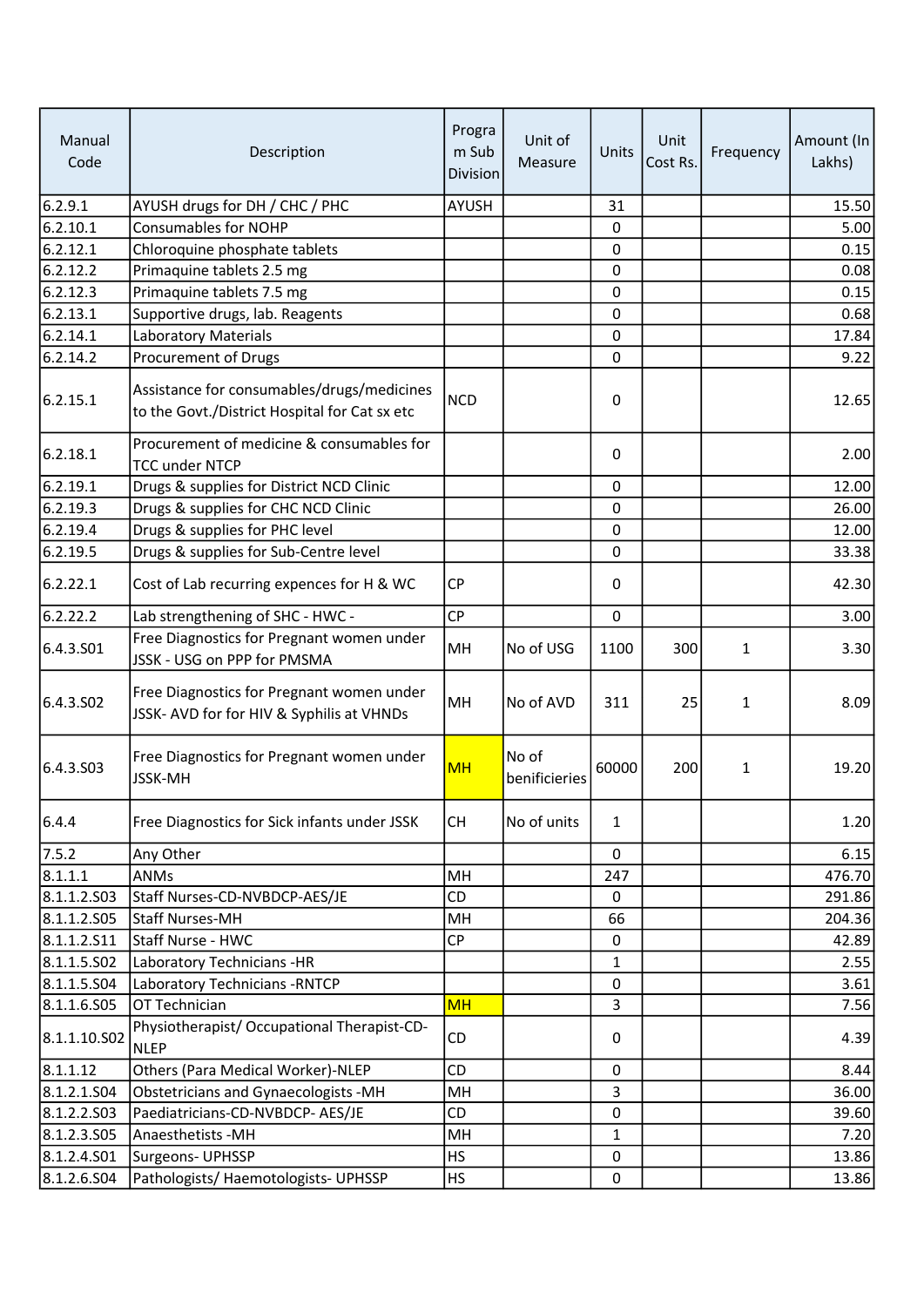| Manual<br>Code | Description                                                                                 | Progra<br>m Sub<br><b>Division</b> | Unit of<br>Measure     | Units            | Unit<br>Cost Rs. | Frequency    | Amount (In<br>Lakhs) |
|----------------|---------------------------------------------------------------------------------------------|------------------------------------|------------------------|------------------|------------------|--------------|----------------------|
| 6.2.9.1        | AYUSH drugs for DH / CHC / PHC                                                              | <b>AYUSH</b>                       |                        | 31               |                  |              | 15.50                |
| 6.2.10.1       | <b>Consumables for NOHP</b>                                                                 |                                    |                        | 0                |                  |              | 5.00                 |
| 6.2.12.1       | Chloroquine phosphate tablets                                                               |                                    |                        | 0                |                  |              | 0.15                 |
| 6.2.12.2       | Primaquine tablets 2.5 mg                                                                   |                                    |                        | $\mathbf 0$      |                  |              | 0.08                 |
| 6.2.12.3       | Primaquine tablets 7.5 mg                                                                   |                                    |                        | $\boldsymbol{0}$ |                  |              | 0.15                 |
| 6.2.13.1       | Supportive drugs, lab. Reagents                                                             |                                    |                        | 0                |                  |              | 0.68                 |
| 6.2.14.1       | Laboratory Materials                                                                        |                                    |                        | $\mathbf 0$      |                  |              | 17.84                |
| 6.2.14.2       | Procurement of Drugs                                                                        |                                    |                        | $\mathbf 0$      |                  |              | 9.22                 |
| 6.2.15.1       | Assistance for consumables/drugs/medicines<br>to the Govt./District Hospital for Cat sx etc | <b>NCD</b>                         |                        | 0                |                  |              | 12.65                |
| 6.2.18.1       | Procurement of medicine & consumables for<br><b>TCC under NTCP</b>                          |                                    |                        | 0                |                  |              | 2.00                 |
| 6.2.19.1       | Drugs & supplies for District NCD Clinic                                                    |                                    |                        | $\mathbf 0$      |                  |              | 12.00                |
| 6.2.19.3       | Drugs & supplies for CHC NCD Clinic                                                         |                                    |                        | $\mathbf 0$      |                  |              | 26.00                |
| 6.2.19.4       | Drugs & supplies for PHC level                                                              |                                    |                        | 0                |                  |              | 12.00                |
| 6.2.19.5       | Drugs & supplies for Sub-Centre level                                                       |                                    |                        | 0                |                  |              | 33.38                |
| 6.2.22.1       | Cost of Lab recurring expences for H & WC                                                   | <b>CP</b>                          |                        | 0                |                  |              | 42.30                |
| 6.2.22.2       | Lab strengthening of SHC - HWC -                                                            | <b>CP</b>                          |                        | $\mathbf 0$      |                  |              | 3.00                 |
| 6.4.3.501      | Free Diagnostics for Pregnant women under<br>JSSK - USG on PPP for PMSMA                    | MH                                 | No of USG              | 1100             | 300              | $\mathbf{1}$ | 3.30                 |
| 6.4.3.502      | Free Diagnostics for Pregnant women under<br>JSSK- AVD for for HIV & Syphilis at VHNDs      | MH                                 | No of AVD              | 311              | 25               | 1            | 8.09                 |
| 6.4.3.503      | Free Diagnostics for Pregnant women under<br><b>JSSK-MH</b>                                 | <b>MH</b>                          | No of<br>benificieries | 60000            | 200              | 1            | 19.20                |
| 6.4.4          | Free Diagnostics for Sick infants under JSSK                                                | <b>CH</b>                          | No of units            | $\mathbf{1}$     |                  |              | 1.20                 |
| 7.5.2          | Any Other                                                                                   |                                    |                        | 0                |                  |              | 6.15                 |
| 8.1.1.1        | <b>ANMs</b>                                                                                 | MH                                 |                        | 247              |                  |              | 476.70               |
| 8.1.1.2.503    | Staff Nurses-CD-NVBDCP-AES/JE                                                               | CD                                 |                        | 0                |                  |              | 291.86               |
| 8.1.1.2.505    | Staff Nurses-MH                                                                             | MH                                 |                        | 66               |                  |              | 204.36               |
| 8.1.1.2.511    | Staff Nurse - HWC                                                                           | <b>CP</b>                          |                        | 0                |                  |              | 42.89                |
| 8.1.1.5.502    | Laboratory Technicians -HR                                                                  |                                    |                        | 1                |                  |              | 2.55                 |
| 8.1.1.5.504    | Laboratory Technicians - RNTCP                                                              |                                    |                        | 0                |                  |              | 3.61                 |
| 8.1.1.6.S05    | OT Technician                                                                               | <b>MH</b>                          |                        | 3                |                  |              | 7.56                 |
| 8.1.1.10.S02   | Physiotherapist/ Occupational Therapist-CD-<br><b>NLEP</b>                                  | CD                                 |                        | 0                |                  |              | 4.39                 |
| 8.1.1.12       | Others (Para Medical Worker)-NLEP                                                           | <b>CD</b>                          |                        | $\boldsymbol{0}$ |                  |              | 8.44                 |
| 8.1.2.1.504    | <b>Obstetricians and Gynaecologists -MH</b>                                                 | MH                                 |                        | 3                |                  |              | 36.00                |
| 8.1.2.2.503    | Paediatricians-CD-NVBDCP- AES/JE                                                            | CD                                 |                        | 0                |                  |              | 39.60                |
| 8.1.2.3.505    | Anaesthetists - MH                                                                          | MH                                 |                        | 1                |                  |              | 7.20                 |
| 8.1.2.4.501    | Surgeons- UPHSSP                                                                            | <b>HS</b>                          |                        | 0                |                  |              | 13.86                |
| 8.1.2.6.504    | Pathologists/ Haemotologists- UPHSSP                                                        | <b>HS</b>                          |                        | 0                |                  |              | 13.86                |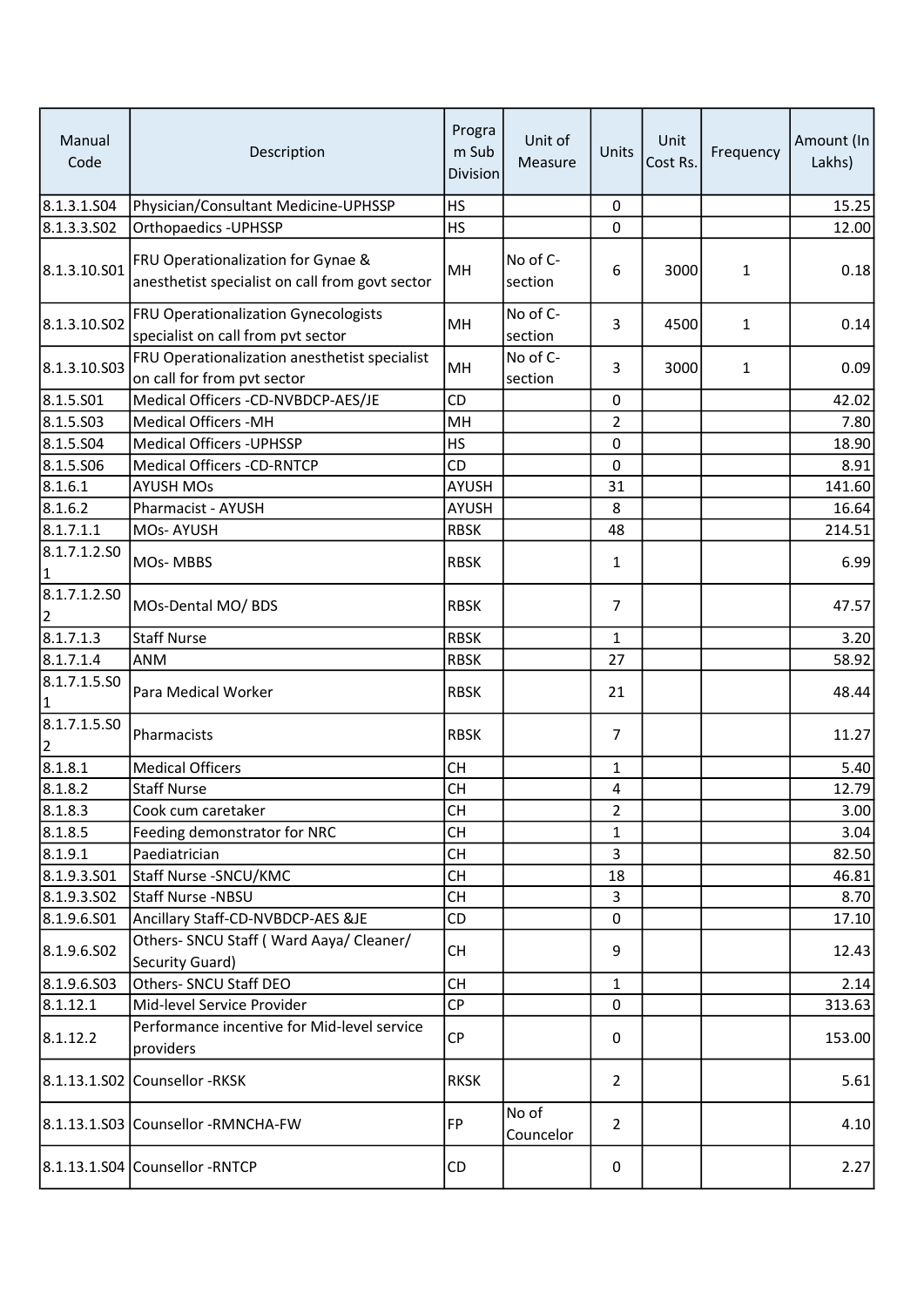| Manual<br>Code                 | Description                                                                           | Progra<br>m Sub<br><b>Division</b> | Unit of<br>Measure  | Units          | Unit<br>Cost Rs. | Frequency | Amount (In<br>Lakhs) |
|--------------------------------|---------------------------------------------------------------------------------------|------------------------------------|---------------------|----------------|------------------|-----------|----------------------|
| 8.1.3.1.504                    | Physician/Consultant Medicine-UPHSSP                                                  | <b>HS</b>                          |                     | $\mathbf 0$    |                  |           | 15.25                |
| 8.1.3.3.502                    | Orthopaedics - UPHSSP                                                                 | <b>HS</b>                          |                     | 0              |                  |           | 12.00                |
| 8.1.3.10.S01                   | FRU Operationalization for Gynae &<br>anesthetist specialist on call from govt sector | MH                                 | No of C-<br>section | 6              | 3000             | 1         | 0.18                 |
| 8.1.3.10.S02                   | FRU Operationalization Gynecologists<br>specialist on call from pvt sector            | MH                                 | No of C-<br>section | 3              | 4500             | 1         | 0.14                 |
| 8.1.3.10.S03                   | FRU Operationalization anesthetist specialist<br>on call for from pvt sector          | MH                                 | No of C-<br>section | 3              | 3000             | 1         | 0.09                 |
| 8.1.5.501                      | Medical Officers -CD-NVBDCP-AES/JE                                                    | CD                                 |                     | $\mathbf 0$    |                  |           | 42.02                |
| 8.1.5.503                      | <b>Medical Officers -MH</b>                                                           | MH                                 |                     | $\overline{2}$ |                  |           | 7.80                 |
| 8.1.5.504                      | <b>Medical Officers - UPHSSP</b>                                                      | <b>HS</b>                          |                     | 0              |                  |           | 18.90                |
| 8.1.5.506                      | <b>Medical Officers -CD-RNTCP</b>                                                     | <b>CD</b>                          |                     | $\mathbf 0$    |                  |           | 8.91                 |
| 8.1.6.1                        | <b>AYUSH MOs</b>                                                                      | <b>AYUSH</b>                       |                     | 31             |                  |           | 141.60               |
| 8.1.6.2                        | Pharmacist - AYUSH                                                                    | <b>AYUSH</b>                       |                     | 8              |                  |           | 16.64                |
| 8.1.7.1.1                      | MOs-AYUSH                                                                             | <b>RBSK</b>                        |                     | 48             |                  |           | 214.51               |
| 8.1.7.1.2.SO<br>1              | MOs-MBBS                                                                              | <b>RBSK</b>                        |                     | 1              |                  |           | 6.99                 |
| 8.1.7.1.2.SO<br>2              | MOs-Dental MO/ BDS                                                                    | <b>RBSK</b>                        |                     | $\overline{7}$ |                  |           | 47.57                |
| 8.1.7.1.3                      | <b>Staff Nurse</b>                                                                    | <b>RBSK</b>                        |                     | $\mathbf{1}$   |                  |           | 3.20                 |
| 8.1.7.1.4                      | ANM                                                                                   | <b>RBSK</b>                        |                     | 27             |                  |           | 58.92                |
| 8.1.7.1.5.SO<br>1              | Para Medical Worker                                                                   | <b>RBSK</b>                        |                     | 21             |                  |           | 48.44                |
| 8.1.7.1.5.SO<br>$\overline{2}$ | Pharmacists                                                                           | <b>RBSK</b>                        |                     | $\overline{7}$ |                  |           | 11.27                |
| 8.1.8.1                        | <b>Medical Officers</b>                                                               | <b>CH</b>                          |                     | 1              |                  |           | 5.40                 |
| 8.1.8.2                        | <b>Staff Nurse</b>                                                                    | <b>CH</b>                          |                     | 4              |                  |           | 12.79                |
| 8.1.8.3                        | Cook cum caretaker                                                                    | <b>CH</b>                          |                     | 2              |                  |           | 3.00                 |
| 8.1.8.5                        | Feeding demonstrator for NRC                                                          | <b>CH</b>                          |                     | 1              |                  |           | 3.04                 |
| 8.1.9.1                        | Paediatrician                                                                         | <b>CH</b>                          |                     | 3              |                  |           | 82.50                |
| 8.1.9.3.501                    | Staff Nurse - SNCU/KMC                                                                | <b>CH</b>                          |                     | 18             |                  |           | 46.81                |
| 8.1.9.3.502                    | Staff Nurse -NBSU                                                                     | <b>CH</b>                          |                     | 3              |                  |           | 8.70                 |
| 8.1.9.6.S01                    | Ancillary Staff-CD-NVBDCP-AES &JE                                                     | <b>CD</b>                          |                     | 0              |                  |           | 17.10                |
| 8.1.9.6.502                    | Others- SNCU Staff (Ward Aaya/ Cleaner/<br>Security Guard)                            | <b>CH</b>                          |                     | 9              |                  |           | 12.43                |
| 8.1.9.6.503                    | Others- SNCU Staff DEO                                                                | <b>CH</b>                          |                     | 1              |                  |           | 2.14                 |
| 8.1.12.1                       | Mid-level Service Provider                                                            | <b>CP</b>                          |                     | $\mathbf 0$    |                  |           | 313.63               |
| 8.1.12.2                       | Performance incentive for Mid-level service<br>providers                              | <b>CP</b>                          |                     | 0              |                  |           | 153.00               |
|                                | 8.1.13.1.S02 Counsellor -RKSK                                                         | <b>RKSK</b>                        |                     | $\overline{2}$ |                  |           | 5.61                 |
|                                | 8.1.13.1.S03 Counsellor -RMNCHA-FW                                                    | FP                                 | No of<br>Councelor  | 2              |                  |           | 4.10                 |
|                                | 8.1.13.1.S04 Counsellor -RNTCP                                                        | CD                                 |                     | 0              |                  |           | 2.27                 |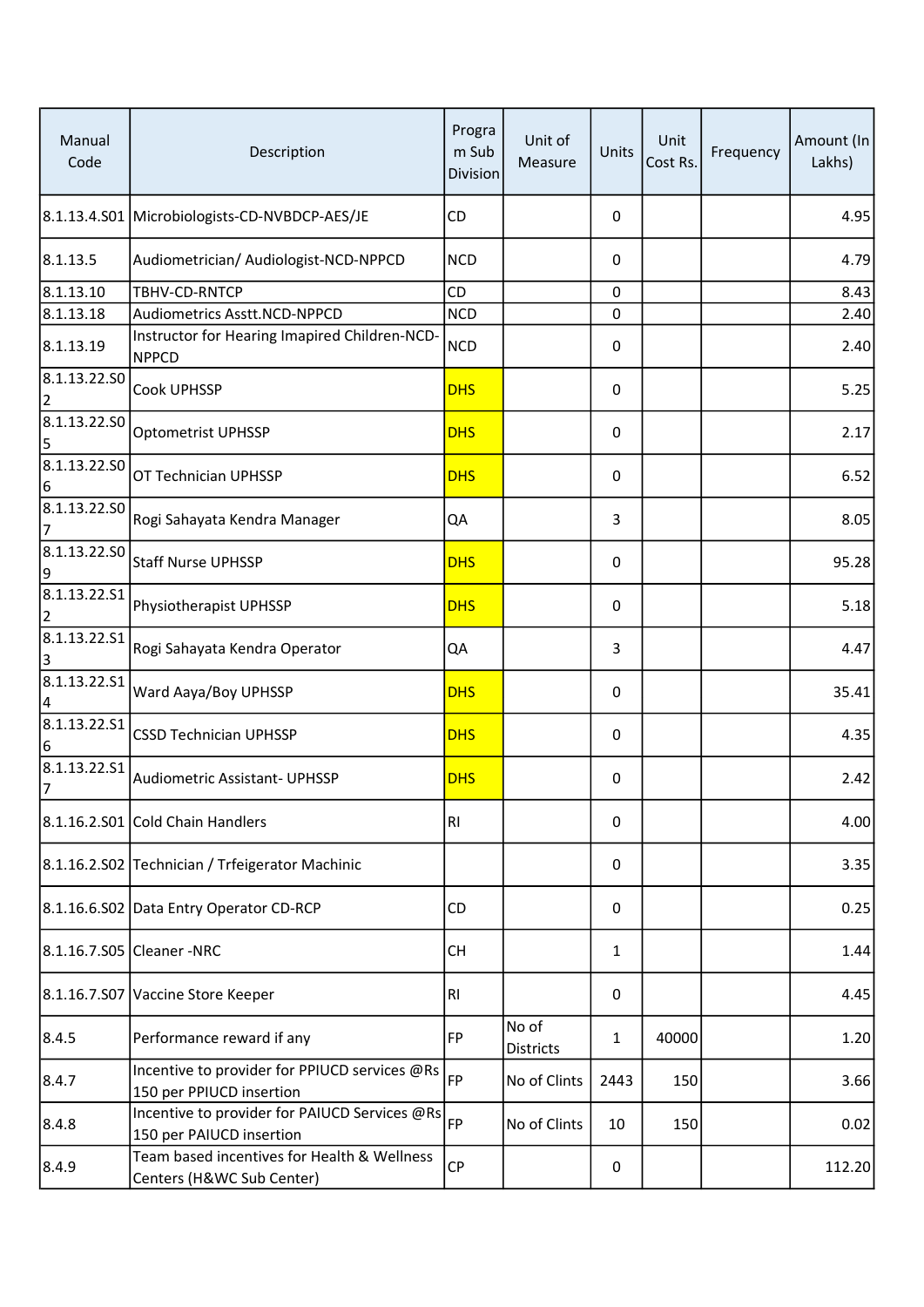| Manual<br>Code                 | Description                                                               | Progra<br>m Sub<br><b>Division</b> | Unit of<br>Measure | Units | Unit<br>Cost Rs. | Frequency | Amount (In<br>Lakhs) |
|--------------------------------|---------------------------------------------------------------------------|------------------------------------|--------------------|-------|------------------|-----------|----------------------|
|                                | 8.1.13.4.S01 Microbiologists-CD-NVBDCP-AES/JE                             | CD                                 |                    | 0     |                  |           | 4.95                 |
| 8.1.13.5                       | Audiometrician/ Audiologist-NCD-NPPCD                                     | <b>NCD</b>                         |                    | 0     |                  |           | 4.79                 |
| 8.1.13.10                      | TBHV-CD-RNTCP                                                             | CD                                 |                    | 0     |                  |           | 8.43                 |
| 8.1.13.18                      | Audiometrics Asstt.NCD-NPPCD                                              | <b>NCD</b>                         |                    | 0     |                  |           | 2.40                 |
| 8.1.13.19                      | Instructor for Hearing Imapired Children-NCD-<br><b>NPPCD</b>             | <b>NCD</b>                         |                    | 0     |                  |           | 2.40                 |
| 8.1.13.22.50<br>$\overline{2}$ | <b>Cook UPHSSP</b>                                                        | <b>DHS</b>                         |                    | 0     |                  |           | 5.25                 |
| 8.1.13.22.SO<br>5              | Optometrist UPHSSP                                                        | <b>DHS</b>                         |                    | 0     |                  |           | 2.17                 |
| 8.1.13.22.50<br>6              | OT Technician UPHSSP                                                      | <b>DHS</b>                         |                    | 0     |                  |           | 6.52                 |
| 8.1.13.22.50<br>7              | Rogi Sahayata Kendra Manager                                              | QA                                 |                    | 3     |                  |           | 8.05                 |
| 8.1.13.22.SO<br>9              | Staff Nurse UPHSSP                                                        | <b>DHS</b>                         |                    | 0     |                  |           | 95.28                |
| 8.1.13.22.51<br>$\overline{2}$ | Physiotherapist UPHSSP                                                    | <b>DHS</b>                         |                    | 0     |                  |           | 5.18                 |
| 8.1.13.22.51<br>3              | Rogi Sahayata Kendra Operator                                             | QA                                 |                    | 3     |                  |           | 4.47                 |
| 8.1.13.22.51<br> 4             | Ward Aaya/Boy UPHSSP                                                      | <b>DHS</b>                         |                    | 0     |                  |           | 35.41                |
| 8.1.13.22.51<br>6              | <b>CSSD Technician UPHSSP</b>                                             | <b>DHS</b>                         |                    | 0     |                  |           | 4.35                 |
| 8.1.13.22.51<br>7              | <b>Audiometric Assistant- UPHSSP</b>                                      | <b>DHS</b>                         |                    | 0     |                  |           | 2.42                 |
|                                | 8.1.16.2.S01 Cold Chain Handlers                                          | RI                                 |                    | 0     |                  |           | 4.00                 |
|                                | 8.1.16.2.S02 Technician / Trfeigerator Machinic                           |                                    |                    | 0     |                  |           | 3.35                 |
|                                | 8.1.16.6.S02 Data Entry Operator CD-RCP                                   | CD                                 |                    | 0     |                  |           | 0.25                 |
|                                | 8.1.16.7.S05 Cleaner -NRC                                                 | <b>CH</b>                          |                    | 1     |                  |           | 1.44                 |
|                                | 8.1.16.7.S07 Vaccine Store Keeper                                         | RI.                                |                    | 0     |                  |           | 4.45                 |
| 8.4.5                          | Performance reward if any                                                 | FP                                 | No of<br>Districts | 1     | 40000            |           | 1.20                 |
| 8.4.7                          | Incentive to provider for PPIUCD services @Rs<br>150 per PPIUCD insertion | FP                                 | No of Clints       | 2443  | 150              |           | 3.66                 |
| 8.4.8                          | Incentive to provider for PAIUCD Services @Rs<br>150 per PAIUCD insertion | FP                                 | No of Clints       | 10    | 150              |           | 0.02                 |
| 8.4.9                          | Team based incentives for Health & Wellness<br>Centers (H&WC Sub Center)  | <b>CP</b>                          |                    | 0     |                  |           | 112.20               |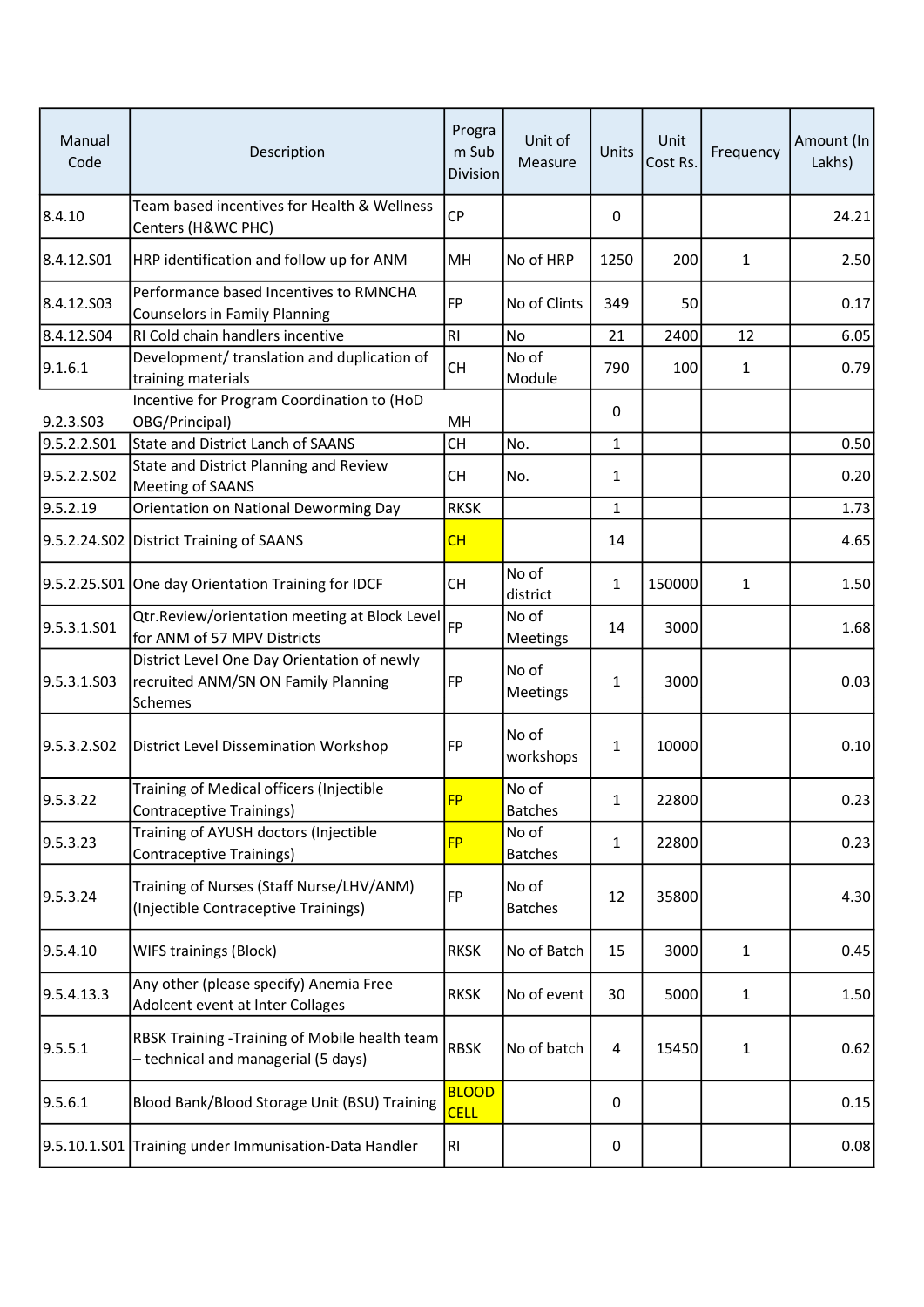| Manual<br>Code | Description                                                                                   | Progra<br>m Sub<br><b>Division</b> | Unit of<br>Measure      | Units        | Unit<br>Cost Rs. | Frequency    | Amount (In<br>Lakhs) |
|----------------|-----------------------------------------------------------------------------------------------|------------------------------------|-------------------------|--------------|------------------|--------------|----------------------|
| 8.4.10         | Team based incentives for Health & Wellness<br>Centers (H&WC PHC)                             | <b>CP</b>                          |                         | 0            |                  |              | 24.21                |
| 8.4.12.S01     | HRP identification and follow up for ANM                                                      | MH                                 | No of HRP               | 1250         | 200              | $\mathbf{1}$ | 2.50                 |
| 8.4.12.S03     | Performance based Incentives to RMNCHA<br><b>Counselors in Family Planning</b>                | <b>FP</b>                          | No of Clints            | 349          | 50               |              | 0.17                 |
| 8.4.12.S04     | RI Cold chain handlers incentive                                                              | RI                                 | No                      | 21           | 2400             | 12           | 6.05                 |
| 9.1.6.1        | Development/ translation and duplication of<br>training materials                             | <b>CH</b>                          | No of<br>Module         | 790          | 100              | $\mathbf{1}$ | 0.79                 |
|                | Incentive for Program Coordination to (HoD                                                    |                                    |                         |              |                  |              |                      |
| 9.2.3.S03      | OBG/Principal)                                                                                | MH                                 |                         | 0            |                  |              |                      |
| 9.5.2.2.S01    | State and District Lanch of SAANS                                                             | <b>CH</b>                          | No.                     | 1            |                  |              | 0.50                 |
| 9.5.2.2.SO2    | State and District Planning and Review<br>Meeting of SAANS                                    | <b>CH</b>                          | No.                     | $\mathbf{1}$ |                  |              | 0.20                 |
| 9.5.2.19       | Orientation on National Deworming Day                                                         | <b>RKSK</b>                        |                         | 1            |                  |              | 1.73                 |
|                | 9.5.2.24.S02 District Training of SAANS                                                       | CH                                 |                         | 14           |                  |              | 4.65                 |
|                | 9.5.2.25.S01 One day Orientation Training for IDCF                                            | <b>CH</b>                          | No of<br>district       | 1            | 150000           | 1            | 1.50                 |
| 9.5.3.1.501    | Qtr.Review/orientation meeting at Block Level<br>for ANM of 57 MPV Districts                  | FP                                 | No of<br>Meetings       | 14           | 3000             |              | 1.68                 |
| 9.5.3.1.503    | District Level One Day Orientation of newly<br>recruited ANM/SN ON Family Planning<br>Schemes | FP                                 | No of<br>Meetings       | 1            | 3000             |              | 0.03                 |
| 9.5.3.2.502    | District Level Dissemination Workshop                                                         | FP                                 | No of<br>workshops      | 1            | 10000            |              | 0.10                 |
| 9.5.3.22       | Training of Medical officers (Injectible<br><b>Contraceptive Trainings)</b>                   | <b>FP</b>                          | No of<br><b>Batches</b> | $\mathbf{1}$ | 22800            |              | 0.23                 |
| 9.5.3.23       | Training of AYUSH doctors (Injectible<br><b>Contraceptive Trainings)</b>                      | <b>FP</b>                          | No of<br><b>Batches</b> | 1            | 22800            |              | 0.23                 |
| 9.5.3.24       | Training of Nurses (Staff Nurse/LHV/ANM)<br>(Injectible Contraceptive Trainings)              | FP                                 | No of<br><b>Batches</b> | 12           | 35800            |              | 4.30                 |
| 9.5.4.10       | <b>WIFS trainings (Block)</b>                                                                 | <b>RKSK</b>                        | No of Batch             | 15           | 3000             | $\mathbf{1}$ | 0.45                 |
| 9.5.4.13.3     | Any other (please specify) Anemia Free<br>Adolcent event at Inter Collages                    | <b>RKSK</b>                        | No of event             | 30           | 5000             | $\mathbf{1}$ | 1.50                 |
| 9.5.5.1        | RBSK Training -Training of Mobile health team<br>- technical and managerial (5 days)          | <b>RBSK</b>                        | No of batch             | 4            | 15450            | 1            | 0.62                 |
| 9.5.6.1        | Blood Bank/Blood Storage Unit (BSU) Training                                                  | <b>BLOOD</b><br><b>CELL</b>        |                         | 0            |                  |              | 0.15                 |
|                | 9.5.10.1.S01 Training under Immunisation-Data Handler                                         | RI                                 |                         | 0            |                  |              | 0.08                 |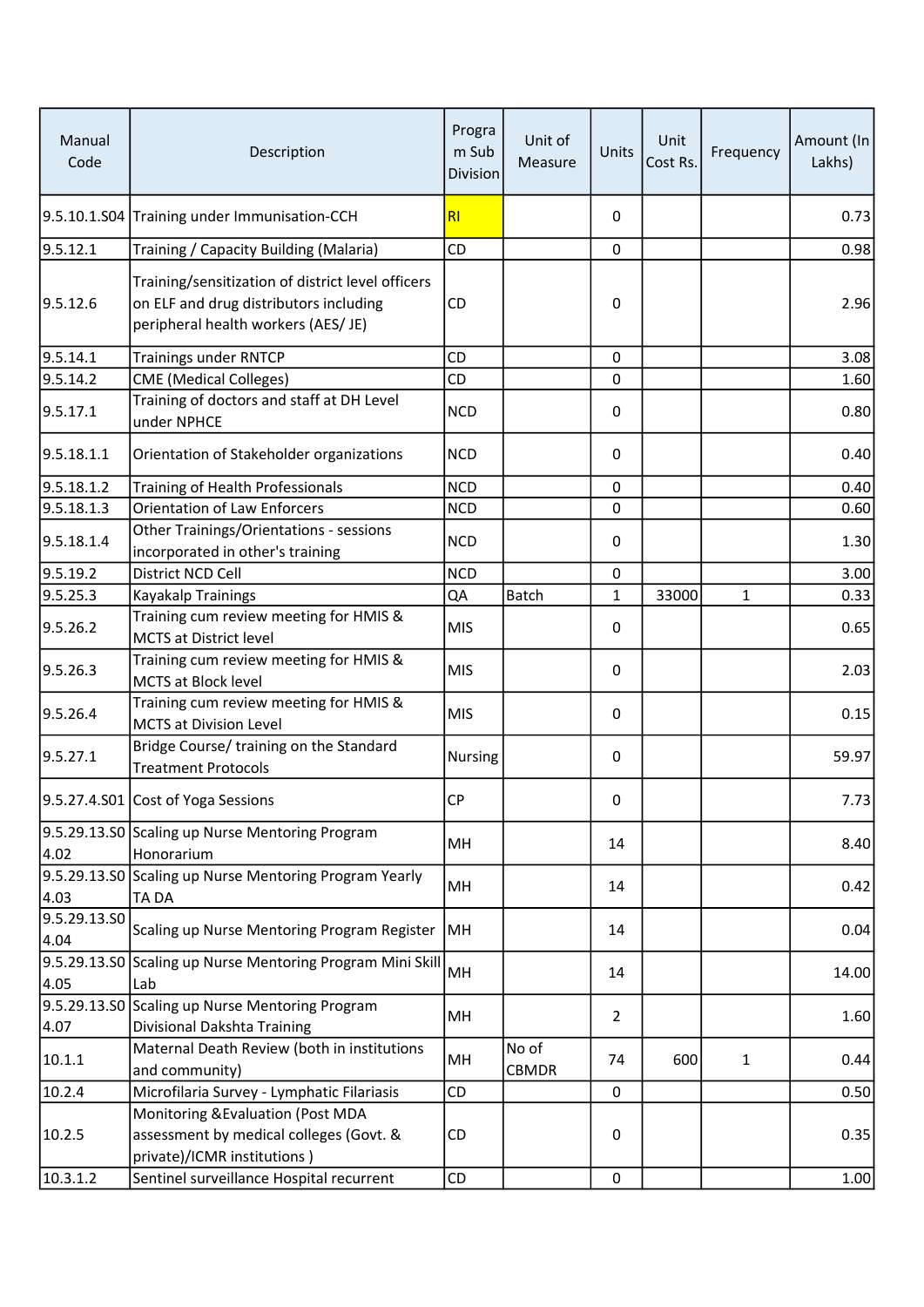| Manual<br>Code       | Description                                                                                                                        | Progra<br>m Sub<br><b>Division</b> | Unit of<br>Measure | Units          | Unit<br>Cost Rs. | Frequency    | Amount (In<br>Lakhs) |
|----------------------|------------------------------------------------------------------------------------------------------------------------------------|------------------------------------|--------------------|----------------|------------------|--------------|----------------------|
|                      | 9.5.10.1.S04 Training under Immunisation-CCH                                                                                       | R <sub>l</sub>                     |                    | 0              |                  |              | 0.73                 |
| 9.5.12.1             | Training / Capacity Building (Malaria)                                                                                             | CD                                 |                    | 0              |                  |              | 0.98                 |
| 9.5.12.6             | Training/sensitization of district level officers<br>on ELF and drug distributors including<br>peripheral health workers (AES/ JE) | <b>CD</b>                          |                    | 0              |                  |              | 2.96                 |
| 9.5.14.1             | <b>Trainings under RNTCP</b>                                                                                                       | <b>CD</b>                          |                    | 0              |                  |              | 3.08                 |
| 9.5.14.2             | <b>CME</b> (Medical Colleges)                                                                                                      | CD                                 |                    | 0              |                  |              | 1.60                 |
| 9.5.17.1             | Training of doctors and staff at DH Level<br>under NPHCE                                                                           | <b>NCD</b>                         |                    | 0              |                  |              | 0.80                 |
| 9.5.18.1.1           | Orientation of Stakeholder organizations                                                                                           | <b>NCD</b>                         |                    | 0              |                  |              | 0.40                 |
| 9.5.18.1.2           | Training of Health Professionals                                                                                                   | <b>NCD</b>                         |                    | 0              |                  |              | 0.40                 |
| 9.5.18.1.3           | <b>Orientation of Law Enforcers</b>                                                                                                | <b>NCD</b>                         |                    | 0              |                  |              | 0.60                 |
| 9.5.18.1.4           | Other Trainings/Orientations - sessions<br>incorporated in other's training                                                        | <b>NCD</b>                         |                    | 0              |                  |              | 1.30                 |
| 9.5.19.2             | District NCD Cell                                                                                                                  | <b>NCD</b>                         |                    | 0              |                  |              | 3.00                 |
| 9.5.25.3             | Kayakalp Trainings                                                                                                                 | QA                                 | Batch              | 1              | 33000            | $\mathbf{1}$ | 0.33                 |
| 9.5.26.2             | Training cum review meeting for HMIS &<br>MCTS at District level                                                                   | <b>MIS</b>                         |                    | 0              |                  |              | 0.65                 |
| 9.5.26.3             | Training cum review meeting for HMIS &<br><b>MCTS at Block level</b>                                                               | <b>MIS</b>                         |                    | 0              |                  |              | 2.03                 |
| 9.5.26.4             | Training cum review meeting for HMIS &<br><b>MCTS at Division Level</b>                                                            | <b>MIS</b>                         |                    | 0              |                  |              | 0.15                 |
| 9.5.27.1             | Bridge Course/ training on the Standard<br><b>Treatment Protocols</b>                                                              | Nursing                            |                    | 0              |                  |              | 59.97                |
|                      | 9.5.27.4.S01 Cost of Yoga Sessions                                                                                                 | <b>CP</b>                          |                    | 0              |                  |              | 7.73                 |
| 4.02                 | 9.5.29.13.S0 Scaling up Nurse Mentoring Program<br>Honorarium                                                                      | MH                                 |                    | 14             |                  |              | 8.40                 |
| 4.03                 | 9.5.29.13.S0 Scaling up Nurse Mentoring Program Yearly<br><b>TADA</b>                                                              | MH                                 |                    | 14             |                  |              | 0.42                 |
| 9.5.29.13.SO<br>4.04 | Scaling up Nurse Mentoring Program Register                                                                                        | MH                                 |                    | 14             |                  |              | 0.04                 |
| 4.05                 | 9.5.29.13.S0 Scaling up Nurse Mentoring Program Mini Skill<br> Lab                                                                 | MH                                 |                    | 14             |                  |              | 14.00                |
|                      | 9.5.29.13.SO Scaling up Nurse Mentoring Program                                                                                    | MH                                 |                    | $\overline{2}$ |                  |              | 1.60                 |
| 4.07                 | Divisional Dakshta Training                                                                                                        |                                    |                    |                |                  |              |                      |
| 10.1.1               | Maternal Death Review (both in institutions<br>and community)                                                                      | MH                                 | No of<br>CBMDR     | 74             | 600              | $\mathbf{1}$ | 0.44                 |
| 10.2.4               | Microfilaria Survey - Lymphatic Filariasis                                                                                         | <b>CD</b>                          |                    | $\pmb{0}$      |                  |              | 0.50                 |
| 10.2.5               | Monitoring & Evaluation (Post MDA<br>assessment by medical colleges (Govt. &<br>private)/ICMR institutions)                        | CD                                 |                    | 0              |                  |              | 0.35                 |
| 10.3.1.2             | Sentinel surveillance Hospital recurrent                                                                                           | CD                                 |                    | 0              |                  |              | 1.00                 |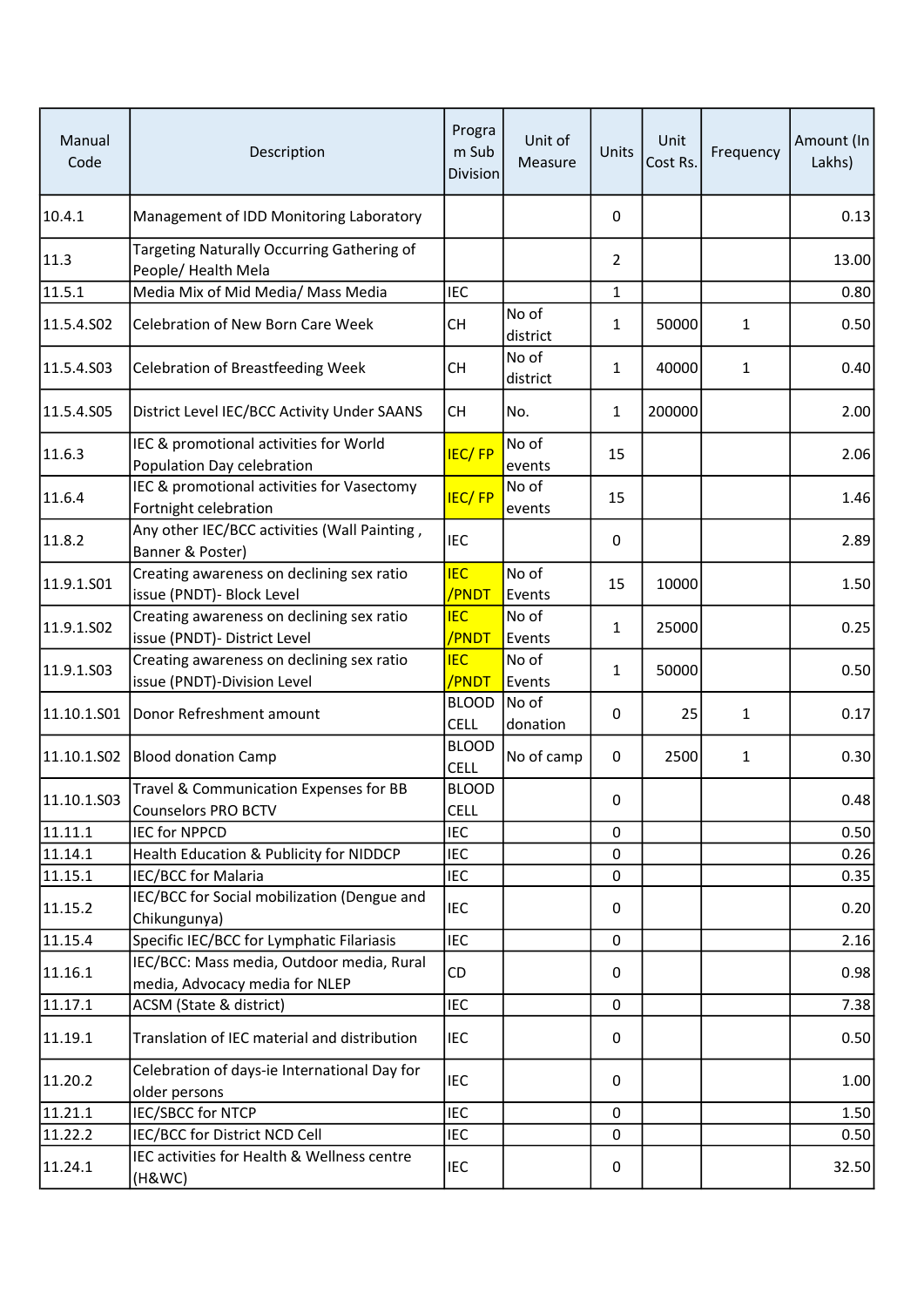| Manual<br>Code | Description                                                                 | Progra<br>m Sub<br><b>Division</b> | Unit of<br>Measure | Units          | Unit<br>Cost Rs. | Frequency    | Amount (In<br>Lakhs) |
|----------------|-----------------------------------------------------------------------------|------------------------------------|--------------------|----------------|------------------|--------------|----------------------|
| 10.4.1         | Management of IDD Monitoring Laboratory                                     |                                    |                    | 0              |                  |              | 0.13                 |
| 11.3           | Targeting Naturally Occurring Gathering of<br>People/ Health Mela           |                                    |                    | $\overline{2}$ |                  |              | 13.00                |
| 11.5.1         | Media Mix of Mid Media/ Mass Media                                          | <b>IEC</b>                         |                    | 1              |                  |              | 0.80                 |
| 11.5.4.502     | Celebration of New Born Care Week                                           | <b>CH</b>                          | No of<br>district  | 1              | 50000            | 1            | 0.50                 |
| 11.5.4.S03     | Celebration of Breastfeeding Week                                           | CН                                 | No of<br>district  | 1              | 40000            | $\mathbf{1}$ | 0.40                 |
| 11.5.4.S05     | District Level IEC/BCC Activity Under SAANS                                 | <b>CH</b>                          | No.                | $\mathbf{1}$   | 200000           |              | 2.00                 |
| 11.6.3         | IEC & promotional activities for World<br>Population Day celebration        | <b>IEC/FP</b>                      | No of<br>events    | 15             |                  |              | 2.06                 |
| 11.6.4         | IEC & promotional activities for Vasectomy<br>Fortnight celebration         | <b>IEC/FP</b>                      | No of<br>events    | 15             |                  |              | 1.46                 |
| 11.8.2         | Any other IEC/BCC activities (Wall Painting,<br>Banner & Poster)            | <b>IEC</b>                         |                    | $\Omega$       |                  |              | 2.89                 |
| 11.9.1.S01     | Creating awareness on declining sex ratio<br>issue (PNDT)- Block Level      | <b>IEC</b><br>/PNDT                | No of<br>Events    | 15             | 10000            |              | 1.50                 |
| 11.9.1.S02     | Creating awareness on declining sex ratio<br>issue (PNDT)- District Level   | <b>IEC</b><br>/PNDT                | No of<br>Events    | 1              | 25000            |              | 0.25                 |
| 11.9.1.S03     | Creating awareness on declining sex ratio<br>issue (PNDT)-Division Level    | <b>IEC</b><br>/PNDT                | No of<br>Events    | 1              | 50000            |              | 0.50                 |
| 11.10.1.501    | Donor Refreshment amount                                                    | <b>BLOOD</b><br><b>CELL</b>        | No of<br>donation  | 0              | 25               | $\mathbf{1}$ | 0.17                 |
| 11.10.1.S02    | <b>Blood donation Camp</b>                                                  | <b>BLOOD</b><br><b>CELL</b>        | No of camp         | 0              | 2500             | $\mathbf{1}$ | 0.30                 |
| 11.10.1.S03    | Travel & Communication Expenses for BB<br><b>Counselors PRO BCTV</b>        | <b>BLOOD</b><br><b>CELL</b>        |                    | 0              |                  |              | 0.48                 |
| 11.11.1        | <b>IEC for NPPCD</b>                                                        | <b>IEC</b>                         |                    | 0              |                  |              | 0.50                 |
| 11.14.1        | Health Education & Publicity for NIDDCP                                     | <b>IEC</b>                         |                    | 0              |                  |              | 0.26                 |
| 11.15.1        | IEC/BCC for Malaria                                                         | <b>IEC</b>                         |                    | $\mathbf 0$    |                  |              | 0.35                 |
| 11.15.2        | IEC/BCC for Social mobilization (Dengue and<br>Chikungunya)                 | <b>IEC</b>                         |                    | 0              |                  |              | 0.20                 |
| 11.15.4        | Specific IEC/BCC for Lymphatic Filariasis                                   | <b>IEC</b>                         |                    | $\mathbf 0$    |                  |              | 2.16                 |
| 11.16.1        | IEC/BCC: Mass media, Outdoor media, Rural<br>media, Advocacy media for NLEP | CD                                 |                    | 0              |                  |              | 0.98                 |
| 11.17.1        | ACSM (State & district)                                                     | <b>IEC</b>                         |                    | $\mathbf 0$    |                  |              | 7.38                 |
| 11.19.1        | Translation of IEC material and distribution                                | <b>IEC</b>                         |                    | 0              |                  |              | 0.50                 |
| 11.20.2        | Celebration of days-ie International Day for<br>older persons               | <b>IEC</b>                         |                    | 0              |                  |              | 1.00                 |
| 11.21.1        | <b>IEC/SBCC for NTCP</b>                                                    | <b>IEC</b>                         |                    | 0              |                  |              | 1.50                 |
| 11.22.2        | IEC/BCC for District NCD Cell                                               | <b>IEC</b>                         |                    | 0              |                  |              | 0.50                 |
| 11.24.1        | IEC activities for Health & Wellness centre<br>(H&WC)                       | IEC                                |                    | 0              |                  |              | 32.50                |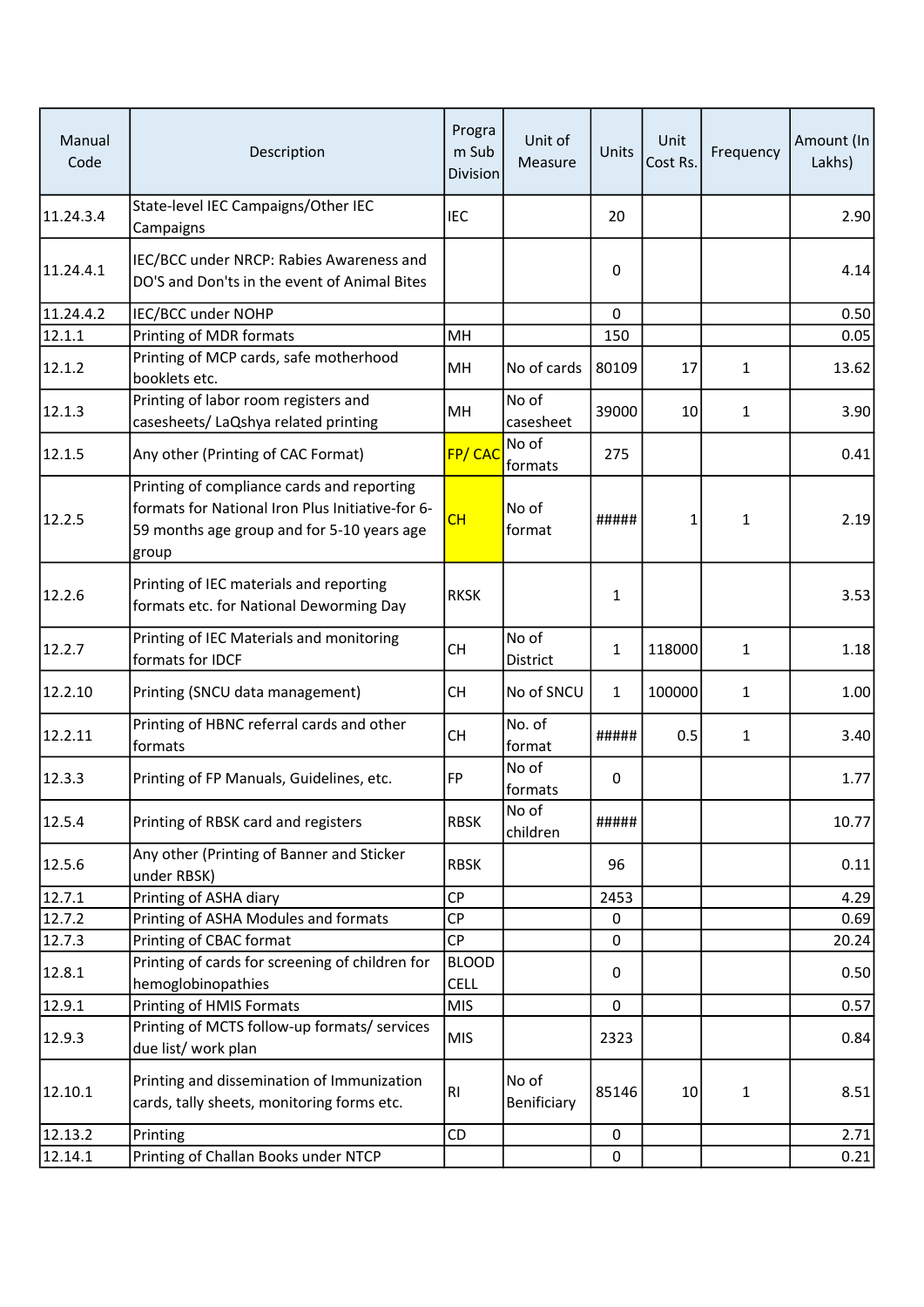| Manual<br>Code | Description                                                                                                                                           | Progra<br>m Sub<br><b>Division</b> | Unit of<br>Measure   | Units        | Unit<br>Cost Rs. | Frequency    | Amount (In<br>Lakhs) |
|----------------|-------------------------------------------------------------------------------------------------------------------------------------------------------|------------------------------------|----------------------|--------------|------------------|--------------|----------------------|
| 11.24.3.4      | State-level IEC Campaigns/Other IEC<br>Campaigns                                                                                                      | <b>IEC</b>                         |                      | 20           |                  |              | 2.90                 |
| 11.24.4.1      | IEC/BCC under NRCP: Rabies Awareness and<br>DO'S and Don'ts in the event of Animal Bites                                                              |                                    |                      | 0            |                  |              | 4.14                 |
| 11.24.4.2      | IEC/BCC under NOHP                                                                                                                                    |                                    |                      | 0            |                  |              | 0.50                 |
| 12.1.1         | Printing of MDR formats                                                                                                                               | MH                                 |                      | 150          |                  |              | 0.05                 |
| 12.1.2         | Printing of MCP cards, safe motherhood<br>booklets etc.                                                                                               | MH                                 | No of cards          | 80109        | 17               | $\mathbf{1}$ | 13.62                |
| 12.1.3         | Printing of labor room registers and<br>casesheets/ LaQshya related printing                                                                          | MH                                 | No of<br>casesheet   | 39000        | 10               | $\mathbf{1}$ | 3.90                 |
| 12.1.5         | Any other (Printing of CAC Format)                                                                                                                    | FP/CAC                             | No of<br>formats     | 275          |                  |              | 0.41                 |
| 12.2.5         | Printing of compliance cards and reporting<br>formats for National Iron Plus Initiative-for 6-<br>59 months age group and for 5-10 years age<br>group | CH                                 | No of<br>format      | #####        | 1                | 1            | 2.19                 |
| 12.2.6         | Printing of IEC materials and reporting<br>formats etc. for National Deworming Day                                                                    | <b>RKSK</b>                        |                      | $\mathbf{1}$ |                  |              | 3.53                 |
| 12.2.7         | Printing of IEC Materials and monitoring<br>formats for IDCF                                                                                          | <b>CH</b>                          | No of<br>District    | 1            | 118000           | $\mathbf{1}$ | 1.18                 |
| 12.2.10        | Printing (SNCU data management)                                                                                                                       | <b>CH</b>                          | No of SNCU           | $\mathbf{1}$ | 100000           | $\mathbf{1}$ | 1.00                 |
| 12.2.11        | Printing of HBNC referral cards and other<br>formats                                                                                                  | <b>CH</b>                          | No. of<br>format     | #####        | 0.5              | $\mathbf 1$  | 3.40                 |
| 12.3.3         | Printing of FP Manuals, Guidelines, etc.                                                                                                              | FP                                 | No of<br>formats     | 0            |                  |              | 1.77                 |
| 12.5.4         | Printing of RBSK card and registers                                                                                                                   | <b>RBSK</b>                        | No of<br>children    | #####        |                  |              | 10.77                |
| 12.5.6         | Any other (Printing of Banner and Sticker<br>under RBSK)                                                                                              | <b>RBSK</b>                        |                      | 96           |                  |              | 0.11                 |
| 12.7.1         | Printing of ASHA diary                                                                                                                                | <b>CP</b>                          |                      | 2453         |                  |              | 4.29                 |
| 12.7.2         | Printing of ASHA Modules and formats                                                                                                                  | <b>CP</b>                          |                      | 0            |                  |              | 0.69                 |
| 12.7.3         | Printing of CBAC format                                                                                                                               | <b>CP</b>                          |                      | $\Omega$     |                  |              | 20.24                |
| 12.8.1         | Printing of cards for screening of children for<br>hemoglobinopathies                                                                                 | <b>BLOOD</b><br><b>CELL</b>        |                      | 0            |                  |              | 0.50                 |
| 12.9.1         | Printing of HMIS Formats                                                                                                                              | <b>MIS</b>                         |                      | $\mathbf 0$  |                  |              | 0.57                 |
| 12.9.3         | Printing of MCTS follow-up formats/ services<br>due list/ work plan                                                                                   | <b>MIS</b>                         |                      | 2323         |                  |              | 0.84                 |
| 12.10.1        | Printing and dissemination of Immunization<br>cards, tally sheets, monitoring forms etc.                                                              | R <sub>l</sub>                     | No of<br>Benificiary | 85146        | 10               | $\mathbf{1}$ | 8.51                 |
| 12.13.2        | Printing                                                                                                                                              | CD                                 |                      | 0            |                  |              | 2.71                 |
| 12.14.1        | Printing of Challan Books under NTCP                                                                                                                  |                                    |                      | $\mathbf 0$  |                  |              | 0.21                 |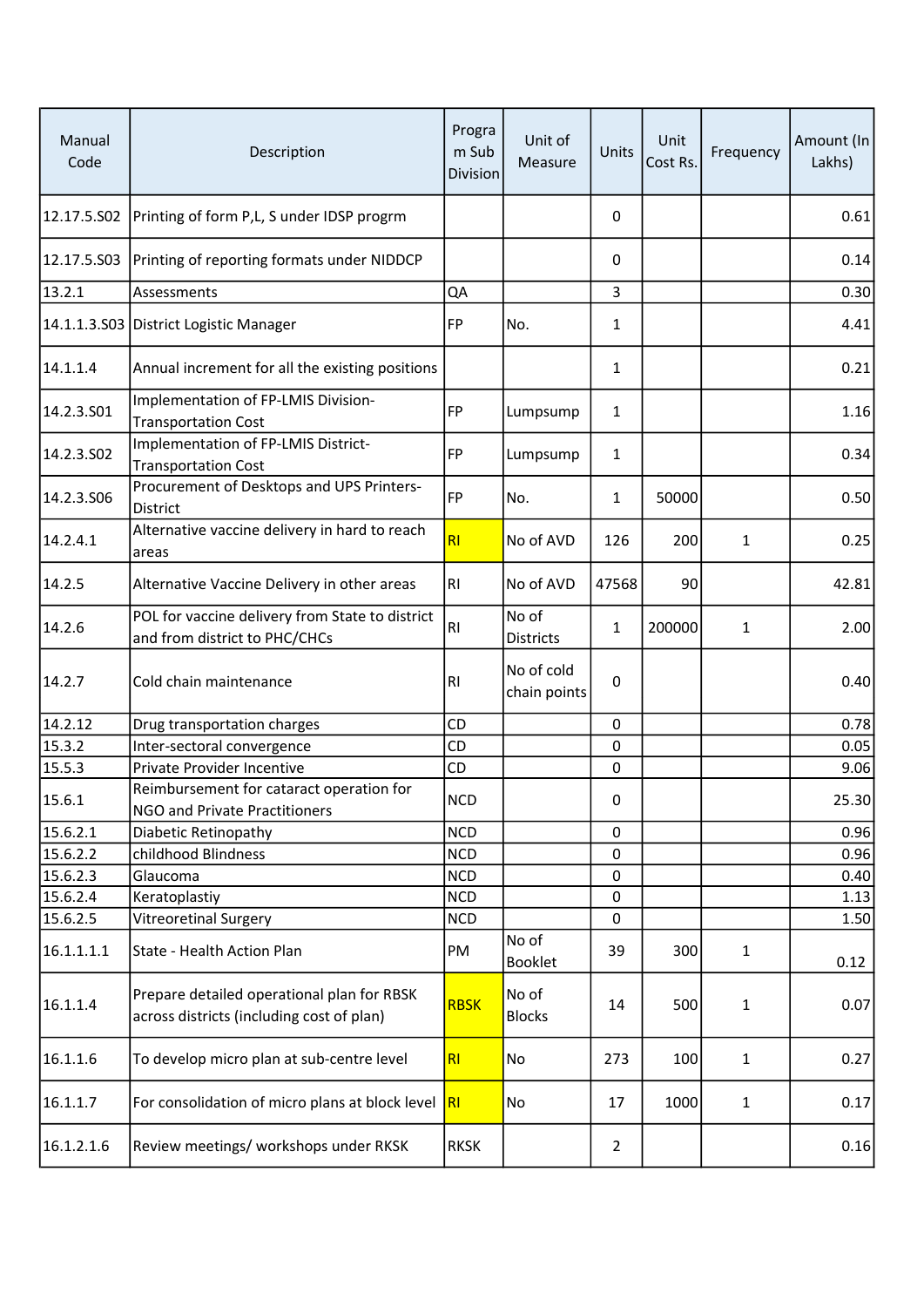| Manual<br>Code | Description                                                                             | Progra<br>m Sub<br><b>Division</b> | Unit of<br>Measure         | Units          | Unit<br>Cost Rs. | Frequency    | Amount (In<br>Lakhs) |
|----------------|-----------------------------------------------------------------------------------------|------------------------------------|----------------------------|----------------|------------------|--------------|----------------------|
|                | 12.17.5.S02 Printing of form P,L, S under IDSP progrm                                   |                                    |                            | 0              |                  |              | 0.61                 |
|                | 12.17.5.S03 Printing of reporting formats under NIDDCP                                  |                                    |                            | 0              |                  |              | 0.14                 |
| 13.2.1         | Assessments                                                                             | QA                                 |                            | 3              |                  |              | 0.30                 |
|                | 14.1.1.3.S03 District Logistic Manager                                                  | FP                                 | No.                        | 1              |                  |              | 4.41                 |
| 14.1.1.4       | Annual increment for all the existing positions                                         |                                    |                            | 1              |                  |              | 0.21                 |
| 14.2.3.501     | Implementation of FP-LMIS Division-<br><b>Transportation Cost</b>                       | <b>FP</b>                          | Lumpsump                   | 1              |                  |              | 1.16                 |
| 14.2.3.SO2     | Implementation of FP-LMIS District-<br><b>Transportation Cost</b>                       | <b>FP</b>                          | Lumpsump                   | 1              |                  |              | 0.34                 |
| 14.2.3.S06     | Procurement of Desktops and UPS Printers-<br>District                                   | <b>FP</b>                          | No.                        | 1              | 50000            |              | 0.50                 |
| 14.2.4.1       | Alternative vaccine delivery in hard to reach<br>areas                                  | RI                                 | No of AVD                  | 126            | 200              | $\mathbf{1}$ | 0.25                 |
| 14.2.5         | Alternative Vaccine Delivery in other areas                                             | RI.                                | No of AVD                  | 47568          | 90               |              | 42.81                |
| 14.2.6         | POL for vaccine delivery from State to district<br>and from district to PHC/CHCs        | RI.                                | No of<br>Districts         | 1              | 200000           | 1            | 2.00                 |
| 14.2.7         | Cold chain maintenance                                                                  | R                                  | No of cold<br>chain points | $\mathbf 0$    |                  |              | 0.40                 |
| 14.2.12        | Drug transportation charges                                                             | CD                                 |                            | $\pmb{0}$      |                  |              | 0.78                 |
| 15.3.2         | Inter-sectoral convergence                                                              | CD                                 |                            | $\mathbf 0$    |                  |              | 0.05                 |
| 15.5.3         | Private Provider Incentive                                                              | CD                                 |                            | $\mathbf 0$    |                  |              | 9.06                 |
| 15.6.1         | Reimbursement for cataract operation for<br>NGO and Private Practitioners               | <b>NCD</b>                         |                            | 0              |                  |              | 25.30                |
| 15.6.2.1       | Diabetic Retinopathy                                                                    | <b>NCD</b>                         |                            | 0              |                  |              | 0.96                 |
| 15.6.2.2       | childhood Blindness                                                                     | <b>NCD</b>                         |                            | 0              |                  |              | 0.96                 |
| 15.6.2.3       | Glaucoma                                                                                | <b>NCD</b>                         |                            | 0              |                  |              | 0.40                 |
| 15.6.2.4       | Keratoplastiy                                                                           | <b>NCD</b>                         |                            | 0              |                  |              | 1.13                 |
| 15.6.2.5       | <b>Vitreoretinal Surgery</b>                                                            | <b>NCD</b>                         |                            | 0              |                  |              | 1.50                 |
| 16.1.1.1.1     | State - Health Action Plan                                                              | PM                                 | No of<br><b>Booklet</b>    | 39             | 300              | $\mathbf{1}$ | 0.12                 |
| 16.1.1.4       | Prepare detailed operational plan for RBSK<br>across districts (including cost of plan) | <b>RBSK</b>                        | No of<br><b>Blocks</b>     | 14             | 500              | 1            | 0.07                 |
| 16.1.1.6       | To develop micro plan at sub-centre level                                               | R <sub>l</sub>                     | No                         | 273            | 100              | 1            | 0.27                 |
| 16.1.1.7       | For consolidation of micro plans at block level                                         | <b>RI</b>                          | No                         | 17             | 1000             | $\mathbf{1}$ | 0.17                 |
| 16.1.2.1.6     | Review meetings/ workshops under RKSK                                                   | <b>RKSK</b>                        |                            | $\overline{2}$ |                  |              | 0.16                 |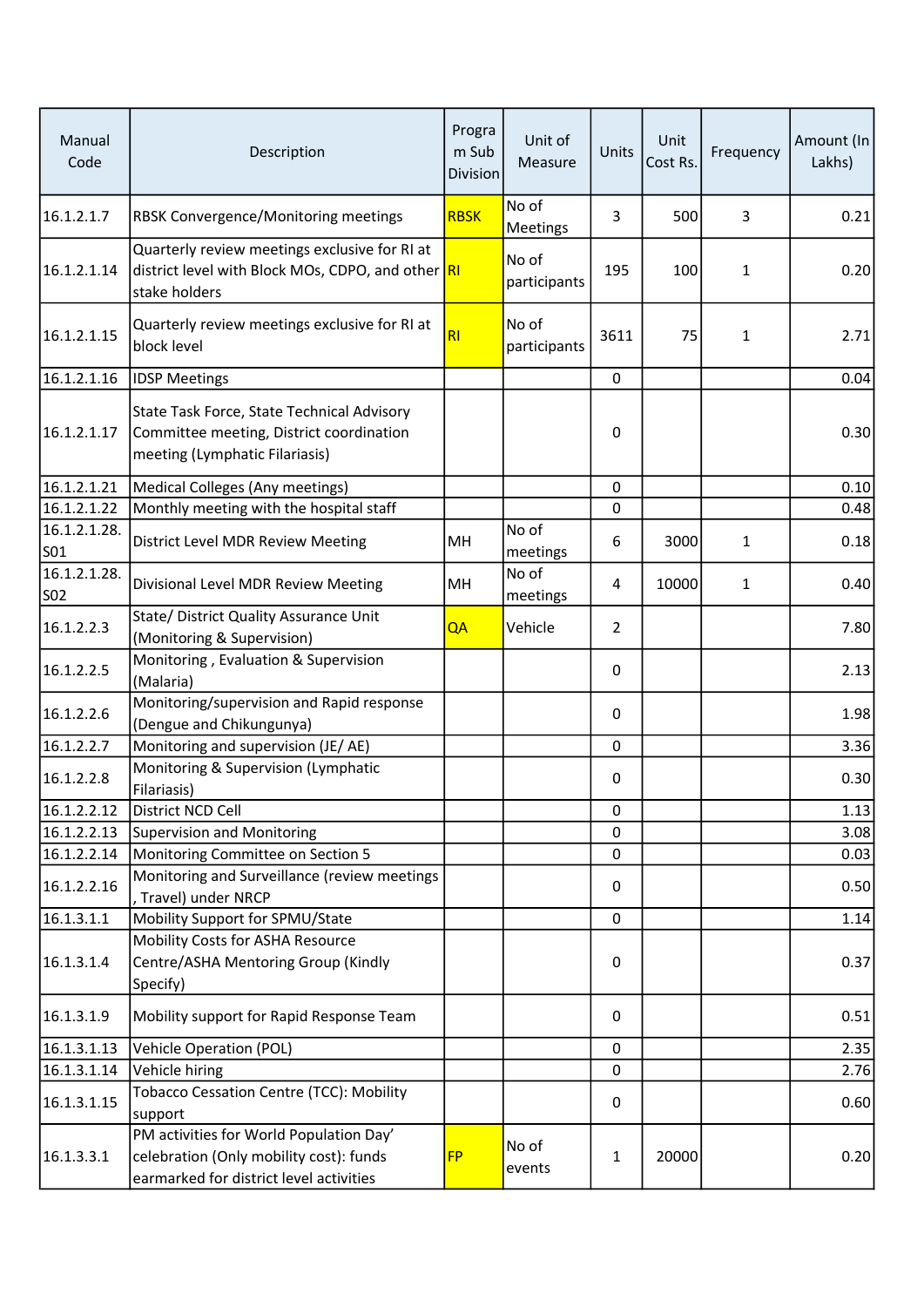| Manual<br>Code             | Description                                                                                                                   | Progra<br>m Sub<br><b>Division</b> | Unit of<br>Measure    | Units       | Unit<br>Cost Rs. | Frequency    | Amount (In<br>Lakhs) |
|----------------------------|-------------------------------------------------------------------------------------------------------------------------------|------------------------------------|-----------------------|-------------|------------------|--------------|----------------------|
| 16.1.2.1.7                 | RBSK Convergence/Monitoring meetings                                                                                          | <b>RBSK</b>                        | No of<br>Meetings     | 3           | 500              | 3            | 0.21                 |
| 16.1.2.1.14                | Quarterly review meetings exclusive for RI at<br>district level with Block MOs, CDPO, and other RI<br>stake holders           |                                    | No of<br>participants | 195         | 100              | $\mathbf{1}$ | 0.20                 |
| 16.1.2.1.15                | Quarterly review meetings exclusive for RI at<br>block level                                                                  | <b>RI</b>                          | No of<br>participants | 3611        | 75               | $\mathbf{1}$ | 2.71                 |
| 16.1.2.1.16                | <b>IDSP Meetings</b>                                                                                                          |                                    |                       | 0           |                  |              | 0.04                 |
| 16.1.2.1.17                | State Task Force, State Technical Advisory<br>Committee meeting, District coordination<br>meeting (Lymphatic Filariasis)      |                                    |                       | 0           |                  |              | 0.30                 |
| 16.1.2.1.21                | Medical Colleges (Any meetings)                                                                                               |                                    |                       | $\mathbf 0$ |                  |              | 0.10                 |
| 16.1.2.1.22                | Monthly meeting with the hospital staff                                                                                       |                                    |                       | 0           |                  |              | 0.48                 |
| 16.1.2.1.28.<br>S01        | District Level MDR Review Meeting                                                                                             | MH                                 | No of<br>meetings     | 6           | 3000             | $\mathbf{1}$ | 0.18                 |
| 16.1.2.1.28.<br><b>SO2</b> | Divisional Level MDR Review Meeting                                                                                           | MH                                 | No of<br>meetings     | 4           | 10000            | $\mathbf{1}$ | 0.40                 |
| 16.1.2.2.3                 | State/ District Quality Assurance Unit<br>(Monitoring & Supervision)                                                          | QA                                 | Vehicle               | 2           |                  |              | 7.80                 |
| 16.1.2.2.5                 | Monitoring, Evaluation & Supervision<br>(Malaria)                                                                             |                                    |                       | 0           |                  |              | 2.13                 |
| 16.1.2.2.6                 | Monitoring/supervision and Rapid response<br>(Dengue and Chikungunya)                                                         |                                    |                       | 0           |                  |              | 1.98                 |
| 16.1.2.2.7                 | Monitoring and supervision (JE/AE)                                                                                            |                                    |                       | 0           |                  |              | 3.36                 |
| 16.1.2.2.8                 | Monitoring & Supervision (Lymphatic<br>Filariasis)                                                                            |                                    |                       | 0           |                  |              | 0.30                 |
| 16.1.2.2.12                | District NCD Cell                                                                                                             |                                    |                       | 0           |                  |              | 1.13                 |
| 16.1.2.2.13                | Supervision and Monitoring                                                                                                    |                                    |                       | 0           |                  |              | 3.08                 |
| 16.1.2.2.14                | Monitoring Committee on Section 5                                                                                             |                                    |                       | 0           |                  |              | 0.03                 |
| 16.1.2.2.16                | Monitoring and Surveillance (review meetings<br>Travel) under NRCP                                                            |                                    |                       | 0           |                  |              | 0.50                 |
| 16.1.3.1.1                 | Mobility Support for SPMU/State                                                                                               |                                    |                       | 0           |                  |              | 1.14                 |
| 16.1.3.1.4                 | Mobility Costs for ASHA Resource<br>Centre/ASHA Mentoring Group (Kindly<br>Specify)                                           |                                    |                       | 0           |                  |              | 0.37                 |
| 16.1.3.1.9                 | Mobility support for Rapid Response Team                                                                                      |                                    |                       | 0           |                  |              | 0.51                 |
| 16.1.3.1.13                | Vehicle Operation (POL)                                                                                                       |                                    |                       | 0           |                  |              | 2.35                 |
| 16.1.3.1.14                | Vehicle hiring                                                                                                                |                                    |                       | $\mathbf 0$ |                  |              | 2.76                 |
| 16.1.3.1.15                | Tobacco Cessation Centre (TCC): Mobility<br>support                                                                           |                                    |                       | 0           |                  |              | 0.60                 |
| 16.1.3.3.1                 | PM activities for World Population Day'<br>celebration (Only mobility cost): funds<br>earmarked for district level activities | <b>FP</b>                          | No of<br>events       | 1           | 20000            |              | 0.20                 |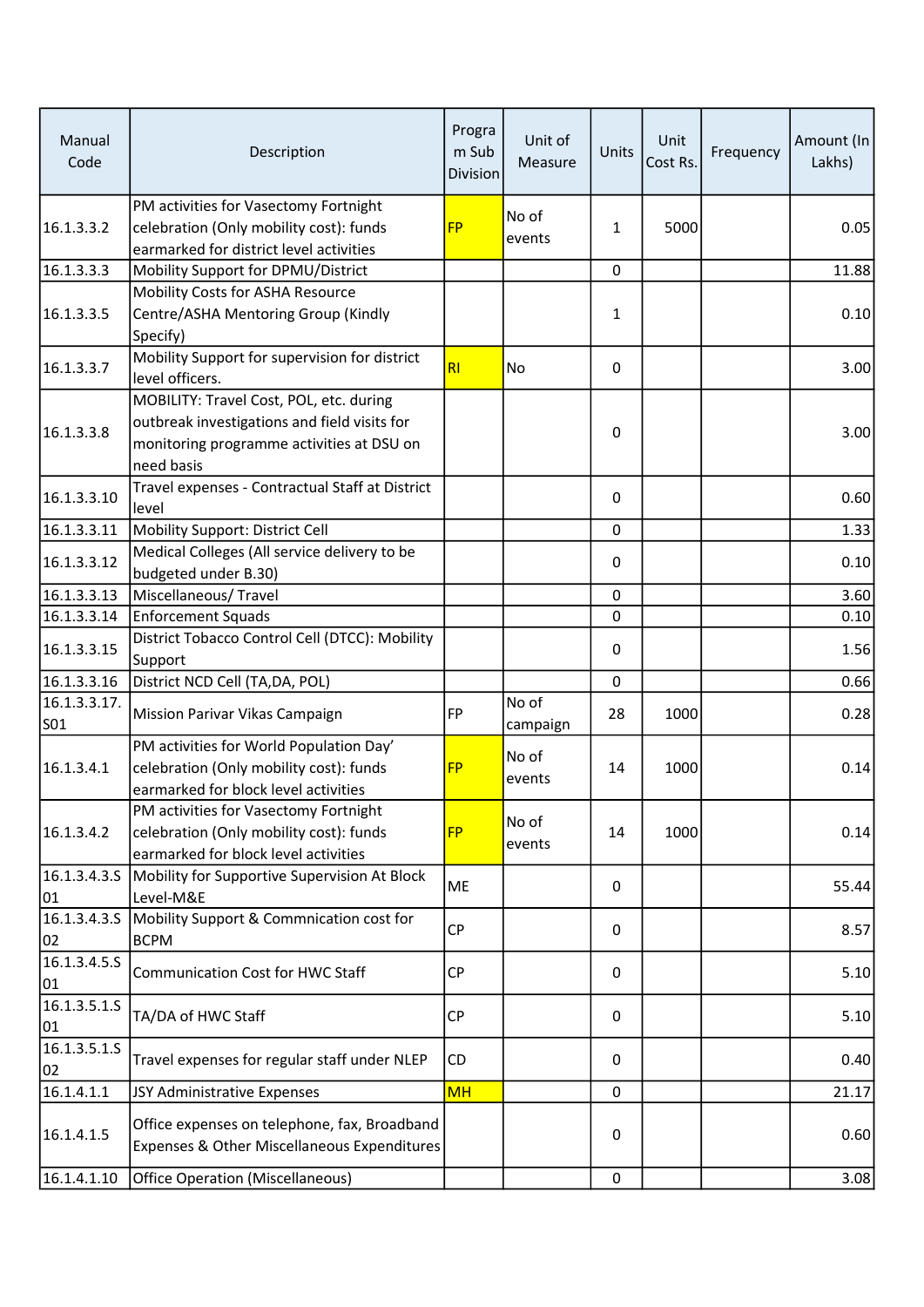| Manual<br>Code                  | Description                                                                                                                                        | Progra<br>m Sub<br><b>Division</b> | Unit of<br>Measure | Units        | Unit<br>Cost Rs. | Frequency | Amount (In<br>Lakhs) |
|---------------------------------|----------------------------------------------------------------------------------------------------------------------------------------------------|------------------------------------|--------------------|--------------|------------------|-----------|----------------------|
| 16.1.3.3.2                      | PM activities for Vasectomy Fortnight<br>celebration (Only mobility cost): funds<br>earmarked for district level activities                        | <b>FP</b>                          | No of<br>events    | $\mathbf{1}$ | 5000             |           | 0.05                 |
| 16.1.3.3.3                      | Mobility Support for DPMU/District                                                                                                                 |                                    |                    | $\mathbf 0$  |                  |           | 11.88                |
| 16.1.3.3.5                      | Mobility Costs for ASHA Resource<br>Centre/ASHA Mentoring Group (Kindly<br>Specify)                                                                |                                    |                    | 1            |                  |           | 0.10                 |
| 16.1.3.3.7                      | Mobility Support for supervision for district<br>level officers.                                                                                   | RI                                 | No                 | 0            |                  |           | 3.00                 |
| 16.1.3.3.8                      | MOBILITY: Travel Cost, POL, etc. during<br>outbreak investigations and field visits for<br>monitoring programme activities at DSU on<br>need basis |                                    |                    | 0            |                  |           | 3.00                 |
| 16.1.3.3.10                     | Travel expenses - Contractual Staff at District<br>level                                                                                           |                                    |                    | 0            |                  |           | 0.60                 |
| 16.1.3.3.11                     | Mobility Support: District Cell                                                                                                                    |                                    |                    | $\pmb{0}$    |                  |           | 1.33                 |
| 16.1.3.3.12                     | Medical Colleges (All service delivery to be<br>budgeted under B.30)                                                                               |                                    |                    | 0            |                  |           | 0.10                 |
| 16.1.3.3.13                     | Miscellaneous/Travel                                                                                                                               |                                    |                    | 0            |                  |           | 3.60                 |
| 16.1.3.3.14                     | <b>Enforcement Squads</b>                                                                                                                          |                                    |                    | 0            |                  |           | 0.10                 |
| 16.1.3.3.15                     | District Tobacco Control Cell (DTCC): Mobility<br>Support                                                                                          |                                    |                    | 0            |                  |           | 1.56                 |
| 16.1.3.3.16                     | District NCD Cell (TA, DA, POL)                                                                                                                    |                                    |                    | 0            |                  |           | 0.66                 |
| 16.1.3.3.17.<br>SO <sub>1</sub> | Mission Parivar Vikas Campaign                                                                                                                     | <b>FP</b>                          | No of<br>campaign  | 28           | 1000             |           | 0.28                 |
| 16.1.3.4.1                      | PM activities for World Population Day'<br>celebration (Only mobility cost): funds<br>earmarked for block level activities                         | <b>FP</b>                          | No of<br>events    | 14           | 1000             |           | 0.14                 |
| 16.1.3.4.2                      | PM activities for Vasectomy Fortnight<br>celebration (Only mobility cost): funds<br>earmarked for block level activities                           | <b>FP</b>                          | No of<br>events    | 14           | 1000             |           | 0.14                 |
| 01                              | 16.1.3.4.3.S Mobility for Supportive Supervision At Block<br>Level-M&E                                                                             | ME                                 |                    | $\mathbf{0}$ |                  |           | 55.44                |
| 16.1.3.4.3.S<br>02              | Mobility Support & Commnication cost for<br><b>BCPM</b>                                                                                            | <b>CP</b>                          |                    | 0            |                  |           | 8.57                 |
| 16.1.3.4.5.5<br>01              | <b>Communication Cost for HWC Staff</b>                                                                                                            | <b>CP</b>                          |                    | 0            |                  |           | 5.10                 |
| 16.1.3.5.1.5<br>01              | TA/DA of HWC Staff                                                                                                                                 | <b>CP</b>                          |                    | 0            |                  |           | 5.10                 |
| 16.1.3.5.1.S<br>02              | Travel expenses for regular staff under NLEP                                                                                                       | CD                                 |                    | 0            |                  |           | 0.40                 |
| 16.1.4.1.1                      | JSY Administrative Expenses                                                                                                                        | <b>MH</b>                          |                    | 0            |                  |           | 21.17                |
| 16.1.4.1.5                      | Office expenses on telephone, fax, Broadband<br>Expenses & Other Miscellaneous Expenditures                                                        |                                    |                    | 0            |                  |           | 0.60                 |
| 16.1.4.1.10                     | <b>Office Operation (Miscellaneous)</b>                                                                                                            |                                    |                    | $\mathbf 0$  |                  |           | 3.08                 |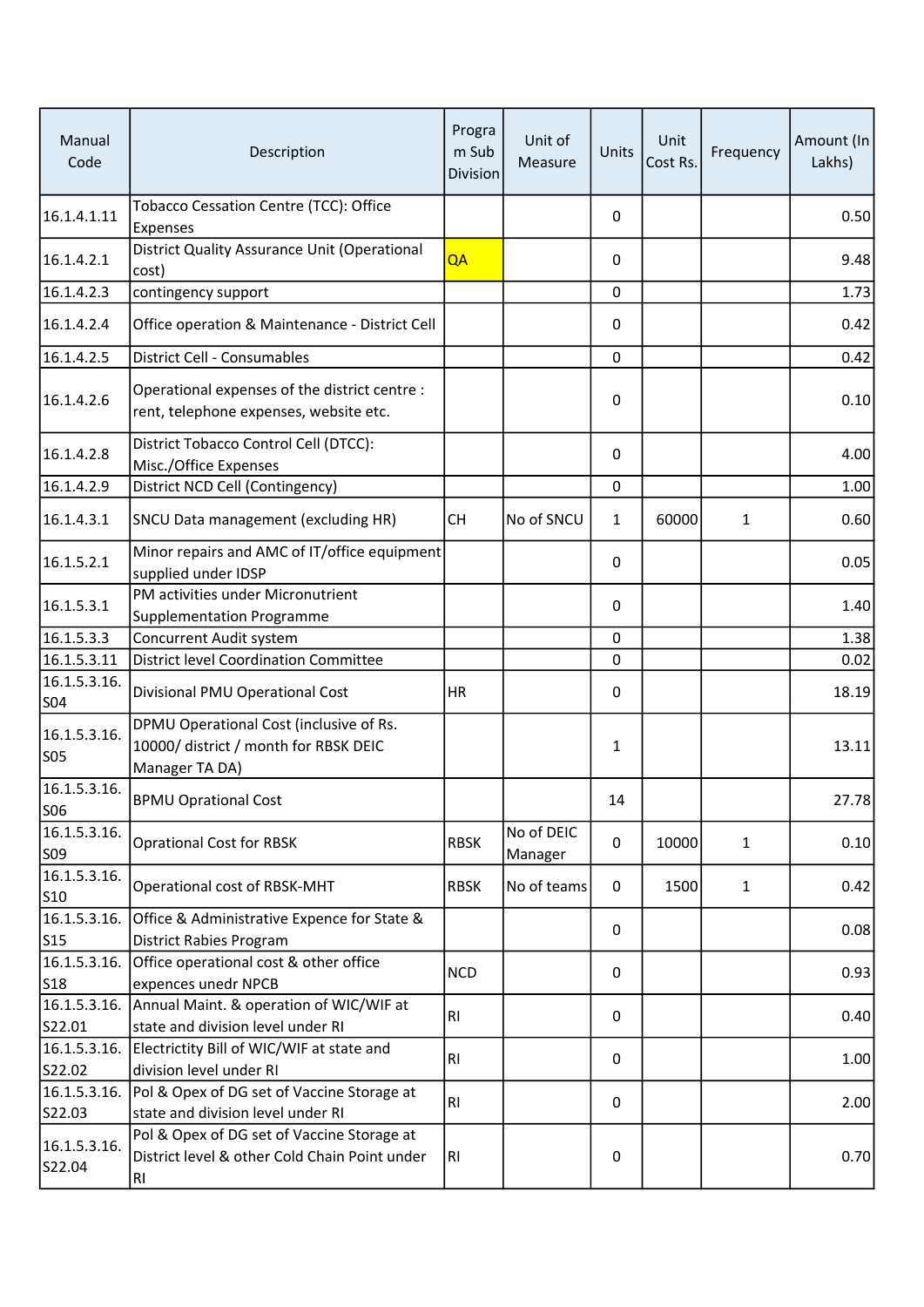| Manual<br>Code              | Description                                                                                              | Progra<br>m Sub<br><b>Division</b> | Unit of<br>Measure    | Units       | Unit<br>Cost Rs. | Frequency    | Amount (In<br>Lakhs) |
|-----------------------------|----------------------------------------------------------------------------------------------------------|------------------------------------|-----------------------|-------------|------------------|--------------|----------------------|
| 16.1.4.1.11                 | Tobacco Cessation Centre (TCC): Office<br>Expenses                                                       |                                    |                       | 0           |                  |              | 0.50                 |
| 16.1.4.2.1                  | District Quality Assurance Unit (Operational<br>cost)                                                    | QA                                 |                       | 0           |                  |              | 9.48                 |
| 16.1.4.2.3                  | contingency support                                                                                      |                                    |                       | $\mathbf 0$ |                  |              | 1.73                 |
| 16.1.4.2.4                  | Office operation & Maintenance - District Cell                                                           |                                    |                       | 0           |                  |              | 0.42                 |
| 16.1.4.2.5                  | District Cell - Consumables                                                                              |                                    |                       | $\mathbf 0$ |                  |              | 0.42                 |
| 16.1.4.2.6                  | Operational expenses of the district centre :<br>rent, telephone expenses, website etc.                  |                                    |                       | 0           |                  |              | 0.10                 |
| 16.1.4.2.8                  | District Tobacco Control Cell (DTCC):<br>Misc./Office Expenses                                           |                                    |                       | 0           |                  |              | 4.00                 |
| 16.1.4.2.9                  | District NCD Cell (Contingency)                                                                          |                                    |                       | $\mathbf 0$ |                  |              | 1.00                 |
| 16.1.4.3.1                  | SNCU Data management (excluding HR)                                                                      | <b>CH</b>                          | No of SNCU            | 1           | 60000            | $\mathbf{1}$ | 0.60                 |
| 16.1.5.2.1                  | Minor repairs and AMC of IT/office equipment<br>supplied under IDSP                                      |                                    |                       | 0           |                  |              | 0.05                 |
|                             | PM activities under Micronutrient                                                                        |                                    |                       |             |                  |              |                      |
| 16.1.5.3.1                  | <b>Supplementation Programme</b>                                                                         |                                    |                       | 0           |                  |              | 1.40                 |
| 16.1.5.3.3                  | Concurrent Audit system                                                                                  |                                    |                       | 0           |                  |              | 1.38                 |
| 16.1.5.3.11                 | <b>District level Coordination Committee</b>                                                             |                                    |                       | 0           |                  |              | 0.02                 |
| 16.1.5.3.16.<br>SO4         | Divisional PMU Operational Cost                                                                          | <b>HR</b>                          |                       | 0           |                  |              | 18.19                |
| 16.1.5.3.16.<br>SO5         | DPMU Operational Cost (inclusive of Rs.<br>10000/ district / month for RBSK DEIC<br>Manager TA DA)       |                                    |                       | 1           |                  |              | 13.11                |
| 16.1.5.3.16.<br>SO6         | <b>BPMU Oprational Cost</b>                                                                              |                                    |                       | 14          |                  |              | 27.78                |
| 16.1.5.3.16.<br>S09         | <b>Oprational Cost for RBSK</b>                                                                          | <b>RBSK</b>                        | No of DEIC<br>Manager | 0           | 10000            | $\mathbf{1}$ | 0.10                 |
| 16.1.5.3.16.<br>S10         | Operational cost of RBSK-MHT                                                                             | <b>RBSK</b>                        | No of teams           | 0           | 1500             | $\mathbf{1}$ | 0.42                 |
| 16.1.5.3.16.<br>$\vert$ S15 | Office & Administrative Expence for State &<br><b>District Rabies Program</b>                            |                                    |                       | 0           |                  |              | 0.08                 |
| 16.1.5.3.16.                | Office operational cost & other office                                                                   | <b>NCD</b>                         |                       | 0           |                  |              | 0.93                 |
| S <sub>18</sub>             | expences unedr NPCB                                                                                      |                                    |                       |             |                  |              |                      |
| 16.1.5.3.16.                | Annual Maint. & operation of WIC/WIF at                                                                  | <b>RI</b>                          |                       | 0           |                  |              | 0.40                 |
| S22.01                      | state and division level under RI                                                                        |                                    |                       |             |                  |              |                      |
| 16.1.5.3.16.                | Electrictity Bill of WIC/WIF at state and                                                                | <b>RI</b>                          |                       | 0           |                  |              | 1.00                 |
| S22.02                      | division level under RI                                                                                  |                                    |                       |             |                  |              |                      |
| 16.1.5.3.16.                | Pol & Opex of DG set of Vaccine Storage at                                                               | RI.                                |                       | 0           |                  |              | 2.00                 |
| S22.03                      | state and division level under RI                                                                        |                                    |                       |             |                  |              |                      |
| 16.1.5.3.16.<br>S22.04      | Pol & Opex of DG set of Vaccine Storage at<br>District level & other Cold Chain Point under<br><b>RI</b> | RI.                                |                       | 0           |                  |              | 0.70                 |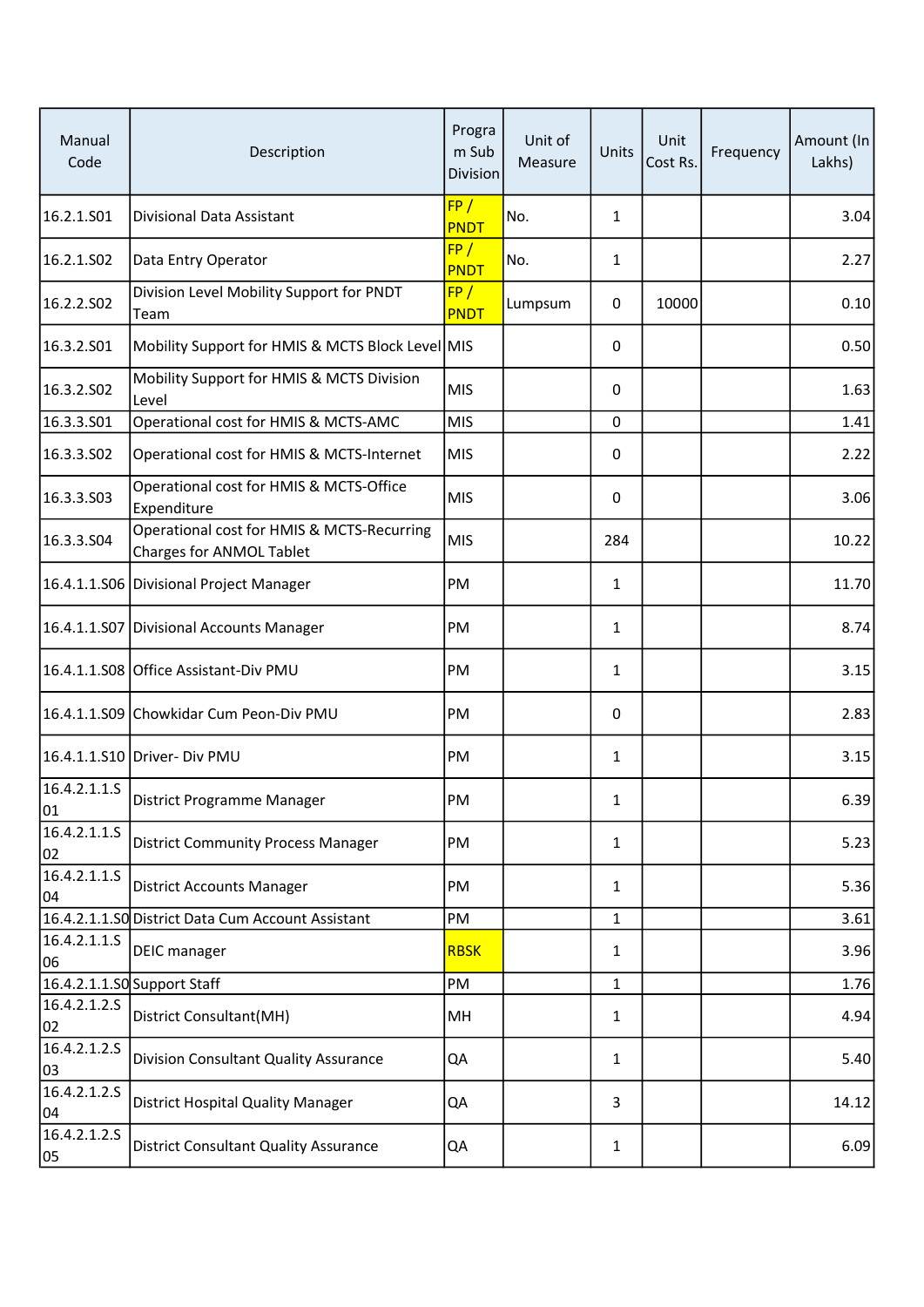| Manual<br>Code     | Description                                                            | Progra<br>m Sub<br>Division | Unit of<br>Measure | Units        | Unit<br>Cost Rs. | Frequency | Amount (In<br>Lakhs) |
|--------------------|------------------------------------------------------------------------|-----------------------------|--------------------|--------------|------------------|-----------|----------------------|
| 16.2.1.S01         | Divisional Data Assistant                                              | FP/<br>PNDT                 | No.                | $\mathbf{1}$ |                  |           | 3.04                 |
| 16.2.1.S02         | Data Entry Operator                                                    | FP/<br>PNDT                 | No.                | 1            |                  |           | 2.27                 |
| 16.2.2.S02         | Division Level Mobility Support for PNDT<br>Team                       | FP/<br><b>PNDT</b>          | Lumpsum            | 0            | 10000            |           | 0.10                 |
| 16.3.2.S01         | Mobility Support for HMIS & MCTS Block Level MIS                       |                             |                    | 0            |                  |           | 0.50                 |
| 16.3.2.S02         | Mobility Support for HMIS & MCTS Division<br>Level                     | <b>MIS</b>                  |                    | 0            |                  |           | 1.63                 |
| 16.3.3.501         | Operational cost for HMIS & MCTS-AMC                                   | <b>MIS</b>                  |                    | 0            |                  |           | 1.41                 |
| 16.3.3.S02         | Operational cost for HMIS & MCTS-Internet                              | <b>MIS</b>                  |                    | 0            |                  |           | 2.22                 |
| 16.3.3.503         | Operational cost for HMIS & MCTS-Office<br>Expenditure                 | <b>MIS</b>                  |                    | 0            |                  |           | 3.06                 |
| 16.3.3.S04         | Operational cost for HMIS & MCTS-Recurring<br>Charges for ANMOL Tablet | <b>MIS</b>                  |                    | 284          |                  |           | 10.22                |
|                    | 16.4.1.1.S06 Divisional Project Manager                                | PM                          |                    | 1            |                  |           | 11.70                |
|                    | 16.4.1.1.S07 Divisional Accounts Manager                               | PM                          |                    | 1            |                  |           | 8.74                 |
|                    | 16.4.1.1.S08 Office Assistant-Div PMU                                  | PM                          |                    | 1            |                  |           | 3.15                 |
|                    | 16.4.1.1.S09 Chowkidar Cum Peon-Div PMU                                | PM                          |                    | 0            |                  |           | 2.83                 |
|                    | 16.4.1.1.S10 Driver- Div PMU                                           | PM                          |                    | 1            |                  |           | 3.15                 |
| 16.4.2.1.1.S<br>01 | District Programme Manager                                             | PM                          |                    | 1            |                  |           | 6.39                 |
| 16.4.2.1.1.S<br>02 | <b>District Community Process Manager</b>                              | PM                          |                    | 1            |                  |           | 5.23                 |
| 16.4.2.1.1.5<br>04 | <b>District Accounts Manager</b>                                       | PM                          |                    | 1            |                  |           | 5.36                 |
|                    | 16.4.2.1.1.50 District Data Cum Account Assistant                      | PM                          |                    | 1            |                  |           | 3.61                 |
| 16.4.2.1.1.S<br>06 | <b>DEIC</b> manager                                                    | <b>RBSK</b>                 |                    | 1            |                  |           | 3.96                 |
|                    | 16.4.2.1.1.SO Support Staff                                            | PM                          |                    | 1            |                  |           | 1.76                 |
| 16.4.2.1.2.5<br>02 | District Consultant(MH)                                                | MH                          |                    | 1            |                  |           | 4.94                 |
| 16.4.2.1.2.5<br>03 | Division Consultant Quality Assurance                                  | QA                          |                    | 1            |                  |           | 5.40                 |
| 16.4.2.1.2.5<br>04 | District Hospital Quality Manager                                      | QA                          |                    | 3            |                  |           | 14.12                |
| 16.4.2.1.2.5<br>05 | <b>District Consultant Quality Assurance</b>                           | QA                          |                    | 1            |                  |           | 6.09                 |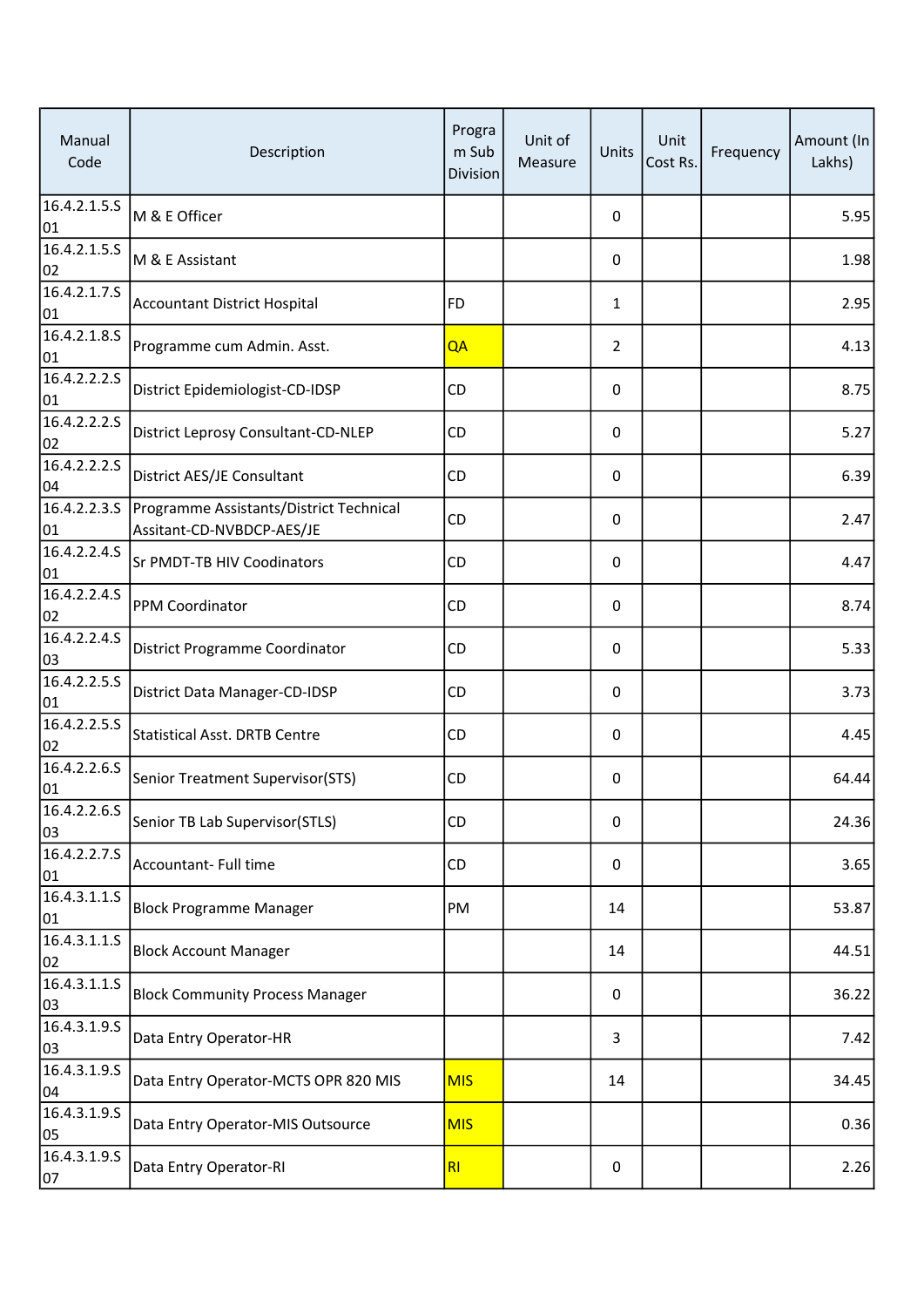| Manual<br>Code              | Description                                                          | Progra<br>m Sub<br><b>Division</b> | Unit of<br>Measure | Units            | Unit<br>Cost Rs. | Frequency | Amount (In<br>Lakhs) |
|-----------------------------|----------------------------------------------------------------------|------------------------------------|--------------------|------------------|------------------|-----------|----------------------|
| 16.4.2.1.5.5<br>01          | M & E Officer                                                        |                                    |                    | 0                |                  |           | 5.95                 |
| 16.4.2.1.5.5<br>02          | M & E Assistant                                                      |                                    |                    | 0                |                  |           | 1.98                 |
| $\sqrt{16.4.2.1.7.S}$<br>01 | <b>Accountant District Hospital</b>                                  | FD                                 |                    | $\mathbf{1}$     |                  |           | 2.95                 |
| 16.4.2.1.8.5<br>01          | Programme cum Admin. Asst.                                           | QA                                 |                    | 2                |                  |           | 4.13                 |
| 16.4.2.2.2.5<br>01          | District Epidemiologist-CD-IDSP                                      | CD                                 |                    | 0                |                  |           | 8.75                 |
| 16.4.2.2.2.5<br>02          | District Leprosy Consultant-CD-NLEP                                  | CD                                 |                    | 0                |                  |           | 5.27                 |
| 16.4.2.2.2.5<br>04          | District AES/JE Consultant                                           | CD                                 |                    | 0                |                  |           | 6.39                 |
| 16.4.2.2.3.5<br>01          | Programme Assistants/District Technical<br>Assitant-CD-NVBDCP-AES/JE | CD                                 |                    | 0                |                  |           | 2.47                 |
| 16.4.2.2.4.5<br>01          | Sr PMDT-TB HIV Coodinators                                           | CD                                 |                    | 0                |                  |           | 4.47                 |
| 16.4.2.2.4.5<br>02          | PPM Coordinator                                                      | CD                                 |                    | 0                |                  |           | 8.74                 |
| 16.4.2.2.4.5<br>03          | District Programme Coordinator                                       | CD.                                |                    | 0                |                  |           | 5.33                 |
| 16.4.2.2.5.5<br>01          | District Data Manager-CD-IDSP                                        | CD                                 |                    | 0                |                  |           | 3.73                 |
| 16.4.2.2.5.5<br>02          | <b>Statistical Asst. DRTB Centre</b>                                 | CD                                 |                    | 0                |                  |           | 4.45                 |
| 16.4.2.2.6.5<br>01          | Senior Treatment Supervisor(STS)                                     | CD                                 |                    | 0                |                  |           | 64.44                |
| 16.4.2.2.6.5<br>03          | Senior TB Lab Supervisor(STLS)                                       | CD                                 |                    | $\boldsymbol{0}$ |                  |           | 24.36                |
| 16.4.2.2.7.5<br>01          | Accountant- Full time                                                | CD                                 |                    | 0                |                  |           | 3.65                 |
| $\sqrt{16.4.3.1.1.S}$<br>01 | <b>Block Programme Manager</b>                                       | PM                                 |                    | 14               |                  |           | 53.87                |
| 16.4.3.1.1.5<br>02          | <b>Block Account Manager</b>                                         |                                    |                    | 14               |                  |           | 44.51                |
| 16.4.3.1.1.5<br>03          | <b>Block Community Process Manager</b>                               |                                    |                    | 0                |                  |           | 36.22                |
| 16.4.3.1.9.5<br>03          | Data Entry Operator-HR                                               |                                    |                    | 3                |                  |           | 7.42                 |
| 16.4.3.1.9.5<br>04          | Data Entry Operator-MCTS OPR 820 MIS                                 | <b>MIS</b>                         |                    | 14               |                  |           | 34.45                |
| 16.4.3.1.9.5<br>05          | Data Entry Operator-MIS Outsource                                    | <b>MIS</b>                         |                    |                  |                  |           | 0.36                 |
| 16.4.3.1.9.5<br>07          | Data Entry Operator-RI                                               | R1                                 |                    | 0                |                  |           | 2.26                 |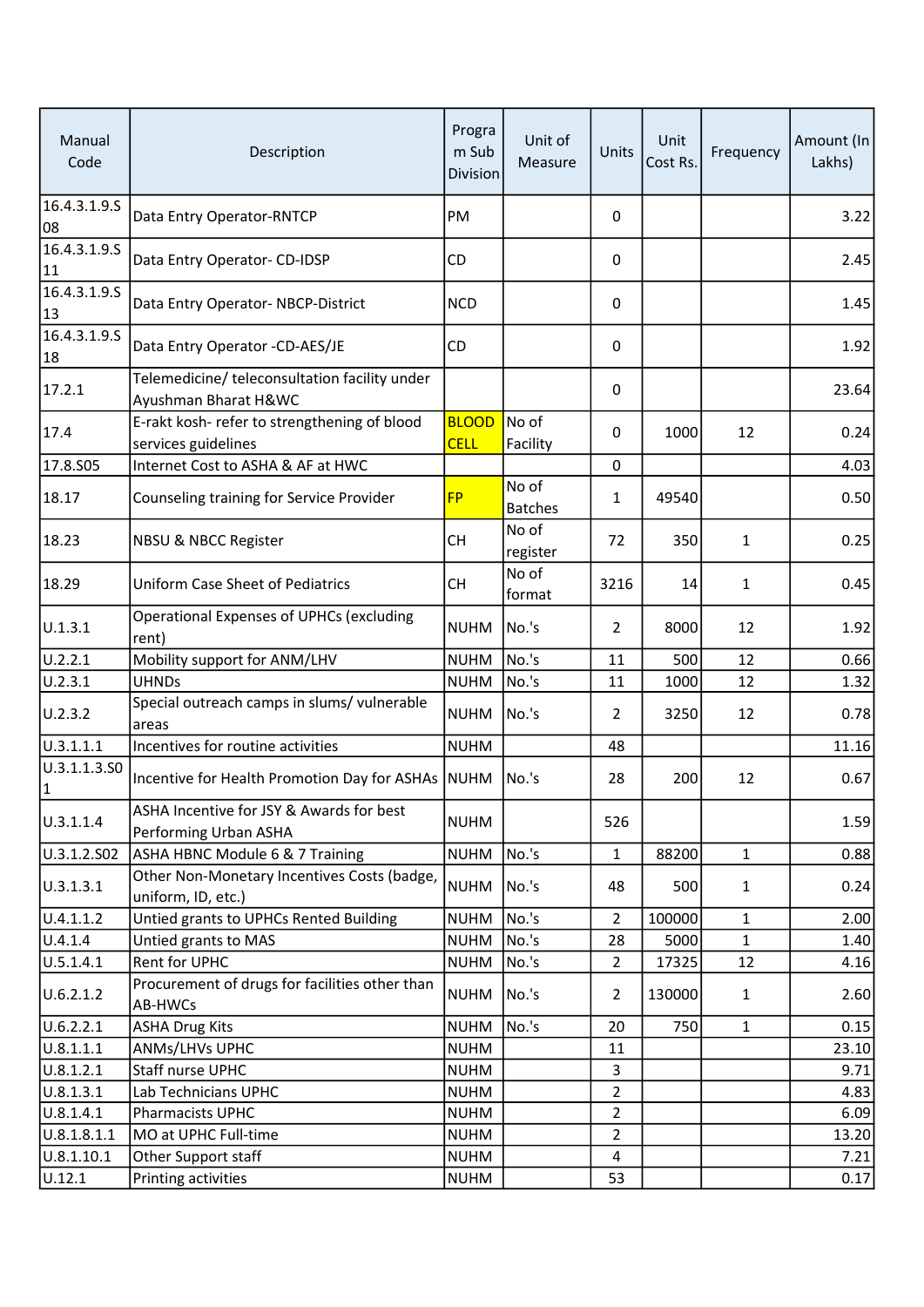| Manual<br>Code               | Description                                                           | Progra<br>m Sub<br><b>Division</b> | Unit of<br>Measure      | Units          | Unit<br>Cost Rs. | Frequency    | Amount (In<br>Lakhs) |
|------------------------------|-----------------------------------------------------------------------|------------------------------------|-------------------------|----------------|------------------|--------------|----------------------|
| 16.4.3.1.9.5<br>08           | Data Entry Operator-RNTCP                                             | PM                                 |                         | $\mathbf{0}$   |                  |              | 3.22                 |
| 16.4.3.1.9.5<br>11           | Data Entry Operator- CD-IDSP                                          | <b>CD</b>                          |                         | 0              |                  |              | 2.45                 |
| 16.4.3.1.9.5<br>13           | Data Entry Operator- NBCP-District                                    | <b>NCD</b>                         |                         | 0              |                  |              | 1.45                 |
| 16.4.3.1.9.5<br>18           | Data Entry Operator -CD-AES/JE                                        | <b>CD</b>                          |                         | 0              |                  |              | 1.92                 |
| 17.2.1                       | Telemedicine/ teleconsultation facility under<br>Ayushman Bharat H&WC |                                    |                         | 0              |                  |              | 23.64                |
| 17.4                         | E-rakt kosh- refer to strengthening of blood<br>services guidelines   | <b>BLOOD</b><br><b>CELL</b>        | No of<br>Facility       | $\mathbf{0}$   | 1000             | 12           | 0.24                 |
| 17.8.S05                     | Internet Cost to ASHA & AF at HWC                                     |                                    |                         | 0              |                  |              | 4.03                 |
| 18.17                        | Counseling training for Service Provider                              | <b>FP</b>                          | No of<br><b>Batches</b> | 1              | 49540            |              | 0.50                 |
| 18.23                        | <b>NBSU &amp; NBCC Register</b>                                       | <b>CH</b>                          | No of<br>register       | 72             | 350              | 1            | 0.25                 |
| 18.29                        | Uniform Case Sheet of Pediatrics                                      | <b>CH</b>                          | No of<br>format         | 3216           | 14               | 1            | 0.45                 |
| U.1.3.1                      | Operational Expenses of UPHCs (excluding<br>rent)                     | <b>NUHM</b>                        | No.'s                   | $\overline{2}$ | 8000             | 12           | 1.92                 |
| U.2.2.1                      | Mobility support for ANM/LHV                                          | <b>NUHM</b>                        | No.'s                   | 11             | 500              | 12           | 0.66                 |
| U.2.3.1                      | <b>UHNDs</b>                                                          | <b>NUHM</b>                        | No.'s                   | 11             | 1000             | 12           | 1.32                 |
| U.2.3.2                      | Special outreach camps in slums/ vulnerable<br>areas                  | <b>NUHM</b>                        | No.'s                   | $\overline{2}$ | 3250             | 12           | 0.78                 |
| 0.3.1.1.1                    | Incentives for routine activities                                     | <b>NUHM</b>                        |                         | 48             |                  |              | 11.16                |
| U.3.1.1.3.SO<br>$\mathbf{1}$ | Incentive for Health Promotion Day for ASHAs NUHM                     |                                    | No.'s                   | 28             | 200              | 12           | 0.67                 |
| U.3.1.1.4                    | ASHA Incentive for JSY & Awards for best<br>Performing Urban ASHA     | <b>NUHM</b>                        |                         | 526            |                  |              | 1.59                 |
| U.3.1.2.S02                  | <b>ASHA HBNC Module 6 &amp; 7 Training</b>                            | <b>NUHM</b>                        | No.'s                   | 1              | 88200            | $\mathbf{1}$ | 0.88                 |
| U.3.1.3.1                    | Other Non-Monetary Incentives Costs (badge,<br>uniform, ID, etc.)     | <b>NUHM</b>                        | No.'s                   | 48             | 500              | $\mathbf{1}$ | 0.24                 |
| U.4.1.1.2                    | Untied grants to UPHCs Rented Building                                | <b>NUHM</b>                        | No.'s                   | $\overline{2}$ | 100000           | $\mathbf{1}$ | 2.00                 |
| U.4.1.4                      | Untied grants to MAS                                                  | <b>NUHM</b>                        | No.'s                   | 28             | 5000             | $\mathbf{1}$ | 1.40                 |
| U.5.1.4.1                    | Rent for UPHC                                                         | <b>NUHM</b>                        | No.'s                   | $\overline{2}$ | 17325            | 12           | 4.16                 |
| U.6.2.1.2                    | Procurement of drugs for facilities other than<br>AB-HWCs             | <b>NUHM</b>                        | No.'s                   | $\overline{2}$ | 130000           | $\mathbf{1}$ | 2.60                 |
| U.6.2.2.1                    | <b>ASHA Drug Kits</b>                                                 | <b>NUHM</b>                        | No.'s                   | 20             | 750              | $\mathbf{1}$ | 0.15                 |
| U.8.1.1.1                    | ANMs/LHVs UPHC                                                        | <b>NUHM</b>                        |                         | 11             |                  |              | 23.10                |
| U.8.1.2.1                    | Staff nurse UPHC                                                      | <b>NUHM</b>                        |                         | 3              |                  |              | 9.71                 |
| U.8.1.3.1                    | Lab Technicians UPHC                                                  | <b>NUHM</b>                        |                         | $\overline{2}$ |                  |              | 4.83                 |
| U.8.1.4.1                    | Pharmacists UPHC                                                      | <b>NUHM</b>                        |                         | $\overline{2}$ |                  |              | 6.09                 |
| U.8.1.8.1.1                  | MO at UPHC Full-time                                                  | <b>NUHM</b>                        |                         | $\overline{2}$ |                  |              | 13.20                |
| U.8.1.10.1                   | Other Support staff                                                   | <b>NUHM</b>                        |                         | 4              |                  |              | 7.21                 |
| U.12.1                       | Printing activities                                                   | <b>NUHM</b>                        |                         | 53             |                  |              | 0.17                 |